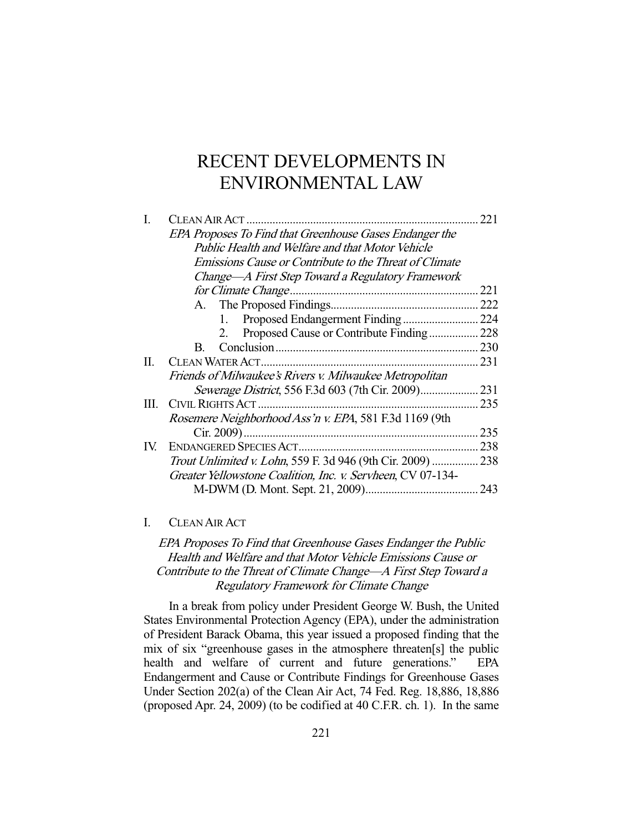# RECENT DEVELOPMENTS IN ENVIRONMENTAL LAW

| L    |                                                             | 221 |
|------|-------------------------------------------------------------|-----|
|      | EPA Proposes To Find that Greenhouse Gases Endanger the     |     |
|      | <b>Public Health and Welfare and that Motor Vehicle</b>     |     |
|      | Emissions Cause or Contribute to the Threat of Climate      |     |
|      | Change—A First Step Toward a Regulatory Framework           |     |
|      |                                                             | 221 |
|      |                                                             | 222 |
|      | 1.                                                          | 224 |
|      | Proposed Cause or Contribute Finding<br>2.                  | 228 |
|      | B.                                                          | 230 |
| П.   | <b>CLEAN WATER ACT.</b>                                     | 231 |
|      | Friends of Milwaukee's Rivers v. Milwaukee Metropolitan     |     |
|      |                                                             | 231 |
| III. | CIVIL RIGHTS ACT.                                           | 235 |
|      | Rosemere Neighborhood Ass'n v. EPA, 581 F.3d 1169 (9th      |     |
|      | Cir. 2009)                                                  | 235 |
| IV.  |                                                             | 238 |
|      | Trout Unlimited v. Lohn, 559 F. 3d 946 (9th Cir. 2009)  238 |     |
|      | Greater Yellowstone Coalition, Inc. v. Servheen, CV 07-134- |     |
|      |                                                             | 243 |

## I. CLEAN AIR ACT

EPA Proposes To Find that Greenhouse Gases Endanger the Public Health and Welfare and that Motor Vehicle Emissions Cause or Contribute to the Threat of Climate Change—A First Step Toward a Regulatory Framework for Climate Change

 In a break from policy under President George W. Bush, the United States Environmental Protection Agency (EPA), under the administration of President Barack Obama, this year issued a proposed finding that the mix of six "greenhouse gases in the atmosphere threaten[s] the public health and welfare of current and future generations." EPA Endangerment and Cause or Contribute Findings for Greenhouse Gases Under Section 202(a) of the Clean Air Act, 74 Fed. Reg. 18,886, 18,886 (proposed Apr. 24, 2009) (to be codified at 40 C.F.R. ch. 1). In the same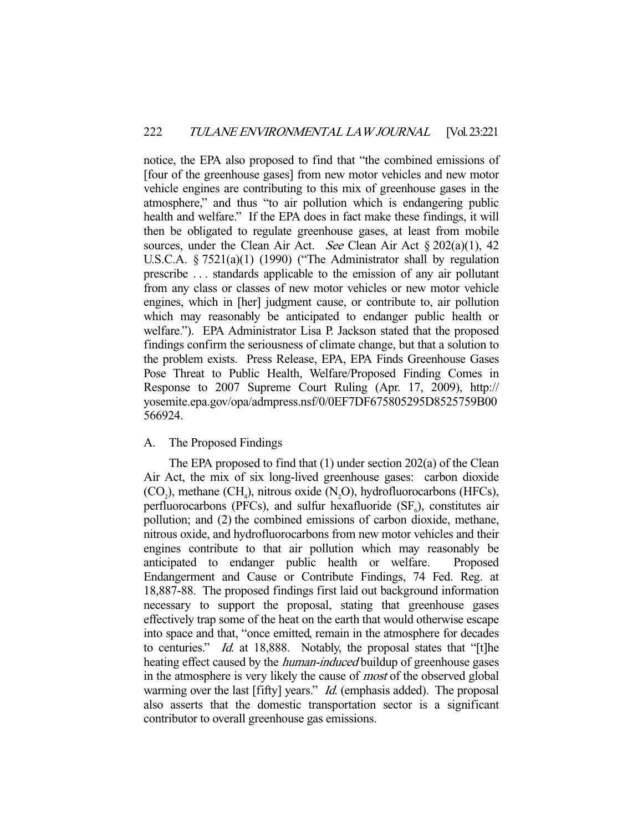notice, the EPA also proposed to find that "the combined emissions of [four of the greenhouse gases] from new motor vehicles and new motor vehicle engines are contributing to this mix of greenhouse gases in the atmosphere," and thus "to air pollution which is endangering public health and welfare." If the EPA does in fact make these findings, it will then be obligated to regulate greenhouse gases, at least from mobile sources, under the Clean Air Act. See Clean Air Act  $\S 202(a)(1)$ , 42 U.S.C.A. § 7521(a)(1) (1990) ("The Administrator shall by regulation prescribe . . . standards applicable to the emission of any air pollutant from any class or classes of new motor vehicles or new motor vehicle engines, which in [her] judgment cause, or contribute to, air pollution which may reasonably be anticipated to endanger public health or welfare."). EPA Administrator Lisa P. Jackson stated that the proposed findings confirm the seriousness of climate change, but that a solution to the problem exists. Press Release, EPA, EPA Finds Greenhouse Gases Pose Threat to Public Health, Welfare/Proposed Finding Comes in Response to 2007 Supreme Court Ruling (Apr. 17, 2009), http:// yosemite.epa.gov/opa/admpress.nsf/0/0EF7DF675805295D8525759B00 566924.

## A. The Proposed Findings

 The EPA proposed to find that (1) under section 202(a) of the Clean Air Act, the mix of six long-lived greenhouse gases: carbon dioxide  $(CO_2)$ , methane  $(CH_4)$ , nitrous oxide  $(N_2O)$ , hydrofluorocarbons (HFCs), perfluorocarbons (PFCs), and sulfur hexafluoride  $(SF<sub>6</sub>)$ , constitutes air pollution; and (2) the combined emissions of carbon dioxide, methane, nitrous oxide, and hydrofluorocarbons from new motor vehicles and their engines contribute to that air pollution which may reasonably be anticipated to endanger public health or welfare. Proposed Endangerment and Cause or Contribute Findings, 74 Fed. Reg. at 18,887-88. The proposed findings first laid out background information necessary to support the proposal, stating that greenhouse gases effectively trap some of the heat on the earth that would otherwise escape into space and that, "once emitted, remain in the atmosphere for decades to centuries." *Id.* at 18,888. Notably, the proposal states that "[t]he heating effect caused by the *human-induced* buildup of greenhouse gases in the atmosphere is very likely the cause of most of the observed global warming over the last [fifty] years." *Id.* (emphasis added). The proposal also asserts that the domestic transportation sector is a significant contributor to overall greenhouse gas emissions.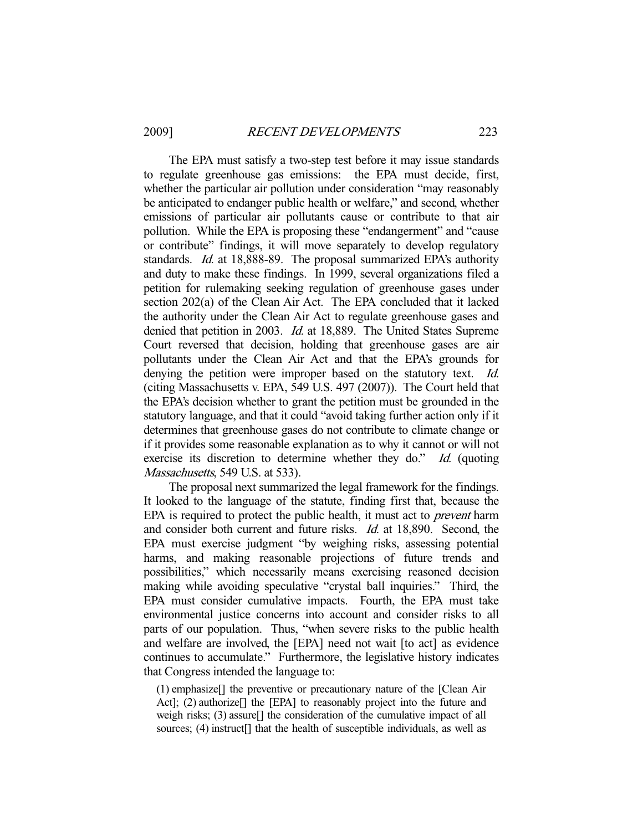The EPA must satisfy a two-step test before it may issue standards to regulate greenhouse gas emissions: the EPA must decide, first, whether the particular air pollution under consideration "may reasonably be anticipated to endanger public health or welfare," and second, whether emissions of particular air pollutants cause or contribute to that air pollution. While the EPA is proposing these "endangerment" and "cause or contribute" findings, it will move separately to develop regulatory standards. *Id.* at 18,888-89. The proposal summarized EPA's authority and duty to make these findings. In 1999, several organizations filed a petition for rulemaking seeking regulation of greenhouse gases under section 202(a) of the Clean Air Act. The EPA concluded that it lacked the authority under the Clean Air Act to regulate greenhouse gases and denied that petition in 2003. Id. at 18,889. The United States Supreme Court reversed that decision, holding that greenhouse gases are air pollutants under the Clean Air Act and that the EPA's grounds for denying the petition were improper based on the statutory text. *Id.* (citing Massachusetts v. EPA, 549 U.S. 497 (2007)). The Court held that the EPA's decision whether to grant the petition must be grounded in the statutory language, and that it could "avoid taking further action only if it determines that greenhouse gases do not contribute to climate change or if it provides some reasonable explanation as to why it cannot or will not exercise its discretion to determine whether they do." Id. (quoting Massachusetts, 549 U.S. at 533).

 The proposal next summarized the legal framework for the findings. It looked to the language of the statute, finding first that, because the EPA is required to protect the public health, it must act to *prevent* harm and consider both current and future risks. Id. at 18,890. Second, the EPA must exercise judgment "by weighing risks, assessing potential harms, and making reasonable projections of future trends and possibilities," which necessarily means exercising reasoned decision making while avoiding speculative "crystal ball inquiries." Third, the EPA must consider cumulative impacts. Fourth, the EPA must take environmental justice concerns into account and consider risks to all parts of our population. Thus, "when severe risks to the public health and welfare are involved, the [EPA] need not wait [to act] as evidence continues to accumulate." Furthermore, the legislative history indicates that Congress intended the language to:

(1) emphasize[] the preventive or precautionary nature of the [Clean Air Act]; (2) authorize<sup>[]</sup> the [EPA] to reasonably project into the future and weigh risks; (3) assure[] the consideration of the cumulative impact of all sources; (4) instruct<sup>[]</sup> that the health of susceptible individuals, as well as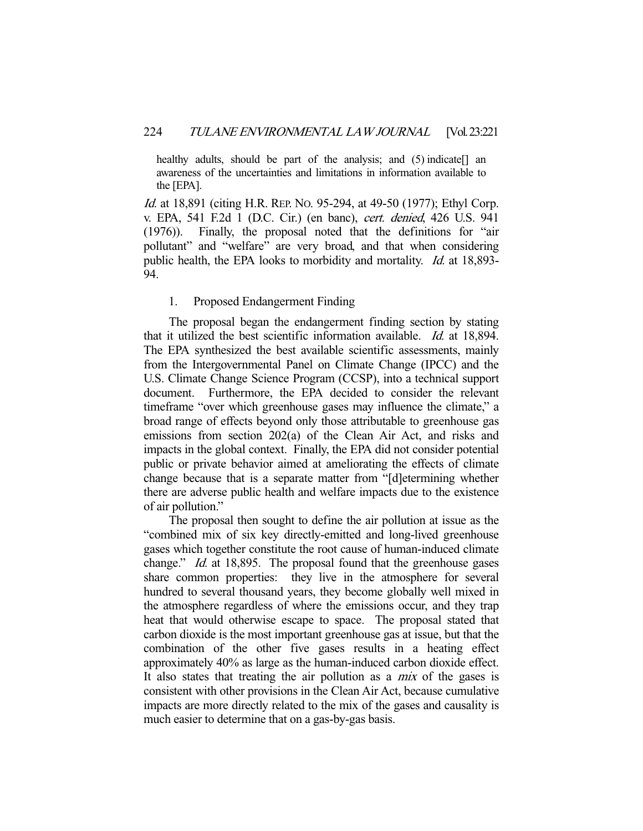healthy adults, should be part of the analysis; and (5) indicate. awareness of the uncertainties and limitations in information available to the [EPA].

Id. at 18,891 (citing H.R. REP. No. 95-294, at 49-50 (1977); Ethyl Corp. v. EPA, 541 F.2d 1 (D.C. Cir.) (en banc), cert. denied, 426 U.S. 941 (1976)). Finally, the proposal noted that the definitions for "air pollutant" and "welfare" are very broad, and that when considering public health, the EPA looks to morbidity and mortality. Id. at 18,893- 94.

### 1. Proposed Endangerment Finding

 The proposal began the endangerment finding section by stating that it utilized the best scientific information available. Id. at 18,894. The EPA synthesized the best available scientific assessments, mainly from the Intergovernmental Panel on Climate Change (IPCC) and the U.S. Climate Change Science Program (CCSP), into a technical support document. Furthermore, the EPA decided to consider the relevant timeframe "over which greenhouse gases may influence the climate," a broad range of effects beyond only those attributable to greenhouse gas emissions from section 202(a) of the Clean Air Act, and risks and impacts in the global context. Finally, the EPA did not consider potential public or private behavior aimed at ameliorating the effects of climate change because that is a separate matter from "[d]etermining whether there are adverse public health and welfare impacts due to the existence of air pollution."

 The proposal then sought to define the air pollution at issue as the "combined mix of six key directly-emitted and long-lived greenhouse gases which together constitute the root cause of human-induced climate change." *Id.* at 18,895. The proposal found that the greenhouse gases share common properties: they live in the atmosphere for several hundred to several thousand years, they become globally well mixed in the atmosphere regardless of where the emissions occur, and they trap heat that would otherwise escape to space. The proposal stated that carbon dioxide is the most important greenhouse gas at issue, but that the combination of the other five gases results in a heating effect approximately 40% as large as the human-induced carbon dioxide effect. It also states that treating the air pollution as a *mix* of the gases is consistent with other provisions in the Clean Air Act, because cumulative impacts are more directly related to the mix of the gases and causality is much easier to determine that on a gas-by-gas basis.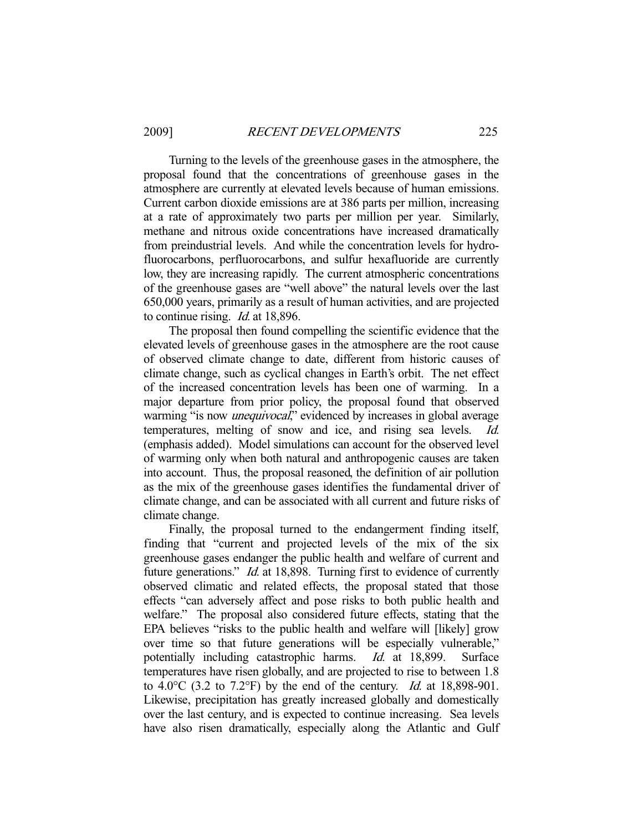Turning to the levels of the greenhouse gases in the atmosphere, the proposal found that the concentrations of greenhouse gases in the atmosphere are currently at elevated levels because of human emissions. Current carbon dioxide emissions are at 386 parts per million, increasing at a rate of approximately two parts per million per year. Similarly, methane and nitrous oxide concentrations have increased dramatically from preindustrial levels. And while the concentration levels for hydrofluorocarbons, perfluorocarbons, and sulfur hexafluoride are currently low, they are increasing rapidly. The current atmospheric concentrations of the greenhouse gases are "well above" the natural levels over the last 650,000 years, primarily as a result of human activities, and are projected to continue rising. Id. at 18,896.

 The proposal then found compelling the scientific evidence that the elevated levels of greenhouse gases in the atmosphere are the root cause of observed climate change to date, different from historic causes of climate change, such as cyclical changes in Earth's orbit. The net effect of the increased concentration levels has been one of warming. In a major departure from prior policy, the proposal found that observed warming "is now *unequivocal*," evidenced by increases in global average temperatures, melting of snow and ice, and rising sea levels. Id. (emphasis added). Model simulations can account for the observed level of warming only when both natural and anthropogenic causes are taken into account. Thus, the proposal reasoned, the definition of air pollution as the mix of the greenhouse gases identifies the fundamental driver of climate change, and can be associated with all current and future risks of climate change.

 Finally, the proposal turned to the endangerment finding itself, finding that "current and projected levels of the mix of the six greenhouse gases endanger the public health and welfare of current and future generations." *Id.* at 18,898. Turning first to evidence of currently observed climatic and related effects, the proposal stated that those effects "can adversely affect and pose risks to both public health and welfare." The proposal also considered future effects, stating that the EPA believes "risks to the public health and welfare will [likely] grow over time so that future generations will be especially vulnerable," potentially including catastrophic harms. Id. at 18,899. Surface temperatures have risen globally, and are projected to rise to between 1.8 to 4.0 $\degree$ C (3.2 to 7.2 $\degree$ F) by the end of the century. *Id.* at 18,898-901. Likewise, precipitation has greatly increased globally and domestically over the last century, and is expected to continue increasing. Sea levels have also risen dramatically, especially along the Atlantic and Gulf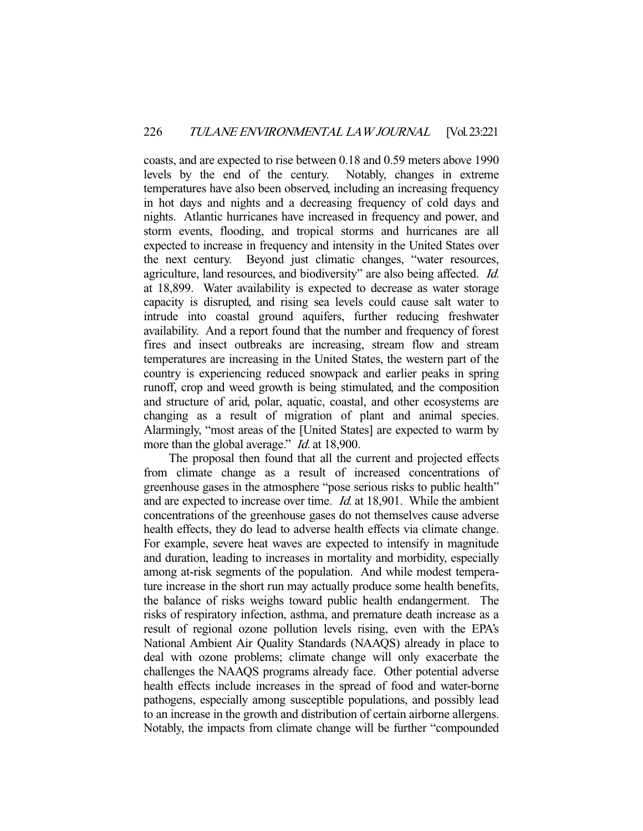coasts, and are expected to rise between 0.18 and 0.59 meters above 1990 levels by the end of the century. Notably, changes in extreme temperatures have also been observed, including an increasing frequency in hot days and nights and a decreasing frequency of cold days and nights. Atlantic hurricanes have increased in frequency and power, and storm events, flooding, and tropical storms and hurricanes are all expected to increase in frequency and intensity in the United States over the next century. Beyond just climatic changes, "water resources, agriculture, land resources, and biodiversity" are also being affected. Id. at 18,899. Water availability is expected to decrease as water storage capacity is disrupted, and rising sea levels could cause salt water to intrude into coastal ground aquifers, further reducing freshwater availability. And a report found that the number and frequency of forest fires and insect outbreaks are increasing, stream flow and stream temperatures are increasing in the United States, the western part of the country is experiencing reduced snowpack and earlier peaks in spring runoff, crop and weed growth is being stimulated, and the composition and structure of arid, polar, aquatic, coastal, and other ecosystems are changing as a result of migration of plant and animal species. Alarmingly, "most areas of the [United States] are expected to warm by more than the global average." *Id.* at 18,900.

 The proposal then found that all the current and projected effects from climate change as a result of increased concentrations of greenhouse gases in the atmosphere "pose serious risks to public health" and are expected to increase over time. Id. at 18,901. While the ambient concentrations of the greenhouse gases do not themselves cause adverse health effects, they do lead to adverse health effects via climate change. For example, severe heat waves are expected to intensify in magnitude and duration, leading to increases in mortality and morbidity, especially among at-risk segments of the population. And while modest temperature increase in the short run may actually produce some health benefits, the balance of risks weighs toward public health endangerment. The risks of respiratory infection, asthma, and premature death increase as a result of regional ozone pollution levels rising, even with the EPA's National Ambient Air Quality Standards (NAAQS) already in place to deal with ozone problems; climate change will only exacerbate the challenges the NAAQS programs already face. Other potential adverse health effects include increases in the spread of food and water-borne pathogens, especially among susceptible populations, and possibly lead to an increase in the growth and distribution of certain airborne allergens. Notably, the impacts from climate change will be further "compounded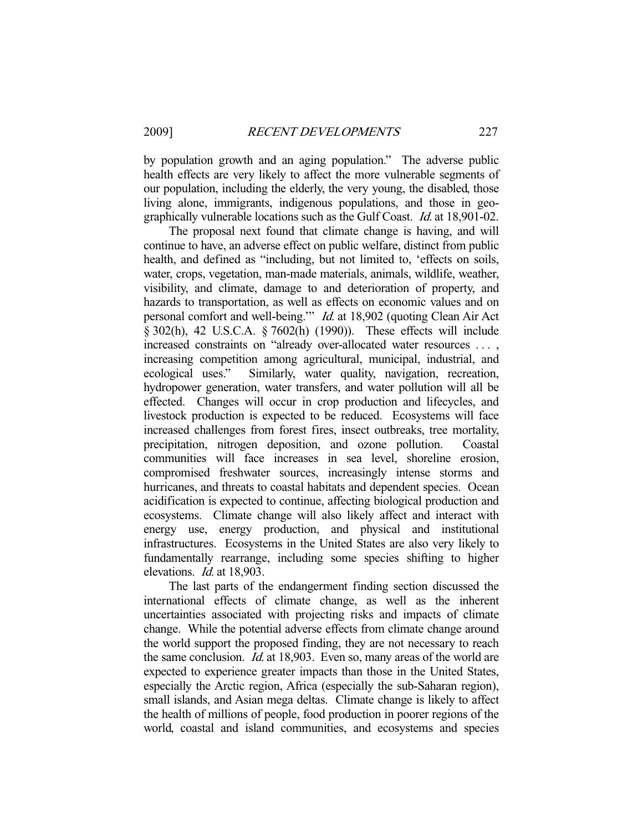by population growth and an aging population." The adverse public health effects are very likely to affect the more vulnerable segments of our population, including the elderly, the very young, the disabled, those living alone, immigrants, indigenous populations, and those in geographically vulnerable locations such as the Gulf Coast. Id. at 18,901-02.

 The proposal next found that climate change is having, and will continue to have, an adverse effect on public welfare, distinct from public health, and defined as "including, but not limited to, 'effects on soils, water, crops, vegetation, man-made materials, animals, wildlife, weather, visibility, and climate, damage to and deterioration of property, and hazards to transportation, as well as effects on economic values and on personal comfort and well-being.'" Id. at 18,902 (quoting Clean Air Act § 302(h), 42 U.S.C.A. § 7602(h) (1990)). These effects will include increased constraints on "already over-allocated water resources . . . , increasing competition among agricultural, municipal, industrial, and ecological uses." Similarly, water quality, navigation, recreation, hydropower generation, water transfers, and water pollution will all be effected. Changes will occur in crop production and lifecycles, and livestock production is expected to be reduced. Ecosystems will face increased challenges from forest fires, insect outbreaks, tree mortality, precipitation, nitrogen deposition, and ozone pollution. Coastal communities will face increases in sea level, shoreline erosion, compromised freshwater sources, increasingly intense storms and hurricanes, and threats to coastal habitats and dependent species. Ocean acidification is expected to continue, affecting biological production and ecosystems. Climate change will also likely affect and interact with energy use, energy production, and physical and institutional infrastructures. Ecosystems in the United States are also very likely to fundamentally rearrange, including some species shifting to higher elevations. Id. at 18,903.

 The last parts of the endangerment finding section discussed the international effects of climate change, as well as the inherent uncertainties associated with projecting risks and impacts of climate change. While the potential adverse effects from climate change around the world support the proposed finding, they are not necessary to reach the same conclusion. *Id.* at 18,903. Even so, many areas of the world are expected to experience greater impacts than those in the United States, especially the Arctic region, Africa (especially the sub-Saharan region), small islands, and Asian mega deltas. Climate change is likely to affect the health of millions of people, food production in poorer regions of the world, coastal and island communities, and ecosystems and species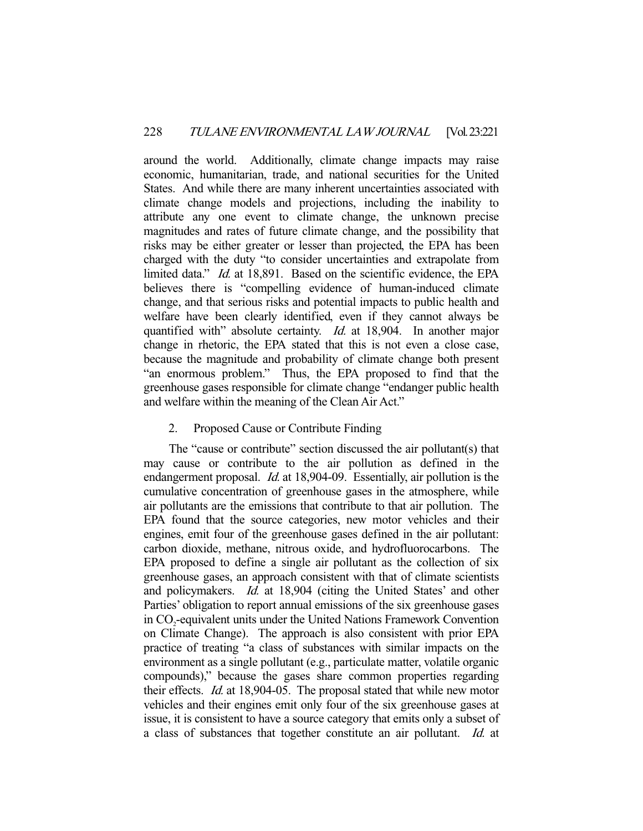around the world. Additionally, climate change impacts may raise economic, humanitarian, trade, and national securities for the United States. And while there are many inherent uncertainties associated with climate change models and projections, including the inability to attribute any one event to climate change, the unknown precise magnitudes and rates of future climate change, and the possibility that risks may be either greater or lesser than projected, the EPA has been charged with the duty "to consider uncertainties and extrapolate from limited data." Id. at 18,891. Based on the scientific evidence, the EPA believes there is "compelling evidence of human-induced climate change, and that serious risks and potential impacts to public health and welfare have been clearly identified, even if they cannot always be quantified with" absolute certainty. *Id.* at 18,904. In another major change in rhetoric, the EPA stated that this is not even a close case, because the magnitude and probability of climate change both present "an enormous problem." Thus, the EPA proposed to find that the greenhouse gases responsible for climate change "endanger public health and welfare within the meaning of the Clean Air Act."

## 2. Proposed Cause or Contribute Finding

 The "cause or contribute" section discussed the air pollutant(s) that may cause or contribute to the air pollution as defined in the endangerment proposal. *Id.* at 18,904-09. Essentially, air pollution is the cumulative concentration of greenhouse gases in the atmosphere, while air pollutants are the emissions that contribute to that air pollution. The EPA found that the source categories, new motor vehicles and their engines, emit four of the greenhouse gases defined in the air pollutant: carbon dioxide, methane, nitrous oxide, and hydrofluorocarbons. The EPA proposed to define a single air pollutant as the collection of six greenhouse gases, an approach consistent with that of climate scientists and policymakers. Id. at 18,904 (citing the United States' and other Parties' obligation to report annual emissions of the six greenhouse gases in CO<sub>2</sub>-equivalent units under the United Nations Framework Convention on Climate Change). The approach is also consistent with prior EPA practice of treating "a class of substances with similar impacts on the environment as a single pollutant (e.g., particulate matter, volatile organic compounds)," because the gases share common properties regarding their effects. Id. at 18,904-05. The proposal stated that while new motor vehicles and their engines emit only four of the six greenhouse gases at issue, it is consistent to have a source category that emits only a subset of a class of substances that together constitute an air pollutant. Id. at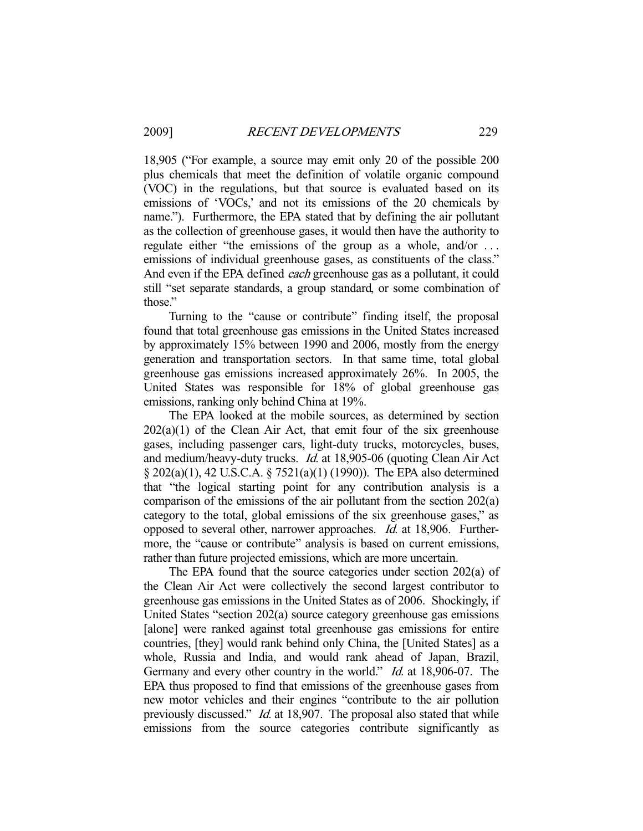18,905 ("For example, a source may emit only 20 of the possible 200 plus chemicals that meet the definition of volatile organic compound (VOC) in the regulations, but that source is evaluated based on its emissions of 'VOCs,' and not its emissions of the 20 chemicals by name."). Furthermore, the EPA stated that by defining the air pollutant as the collection of greenhouse gases, it would then have the authority to regulate either "the emissions of the group as a whole, and/or ... emissions of individual greenhouse gases, as constituents of the class." And even if the EPA defined each greenhouse gas as a pollutant, it could still "set separate standards, a group standard, or some combination of those."

 Turning to the "cause or contribute" finding itself, the proposal found that total greenhouse gas emissions in the United States increased by approximately 15% between 1990 and 2006, mostly from the energy generation and transportation sectors. In that same time, total global greenhouse gas emissions increased approximately 26%. In 2005, the United States was responsible for 18% of global greenhouse gas emissions, ranking only behind China at 19%.

 The EPA looked at the mobile sources, as determined by section  $202(a)(1)$  of the Clean Air Act, that emit four of the six greenhouse gases, including passenger cars, light-duty trucks, motorcycles, buses, and medium/heavy-duty trucks. Id. at 18,905-06 (quoting Clean Air Act § 202(a)(1), 42 U.S.C.A. § 7521(a)(1) (1990)). The EPA also determined that "the logical starting point for any contribution analysis is a comparison of the emissions of the air pollutant from the section 202(a) category to the total, global emissions of the six greenhouse gases," as opposed to several other, narrower approaches. Id. at 18,906. Furthermore, the "cause or contribute" analysis is based on current emissions, rather than future projected emissions, which are more uncertain.

 The EPA found that the source categories under section 202(a) of the Clean Air Act were collectively the second largest contributor to greenhouse gas emissions in the United States as of 2006. Shockingly, if United States "section 202(a) source category greenhouse gas emissions [alone] were ranked against total greenhouse gas emissions for entire countries, [they] would rank behind only China, the [United States] as a whole, Russia and India, and would rank ahead of Japan, Brazil, Germany and every other country in the world." *Id.* at 18,906-07. The EPA thus proposed to find that emissions of the greenhouse gases from new motor vehicles and their engines "contribute to the air pollution previously discussed." *Id.* at 18,907. The proposal also stated that while emissions from the source categories contribute significantly as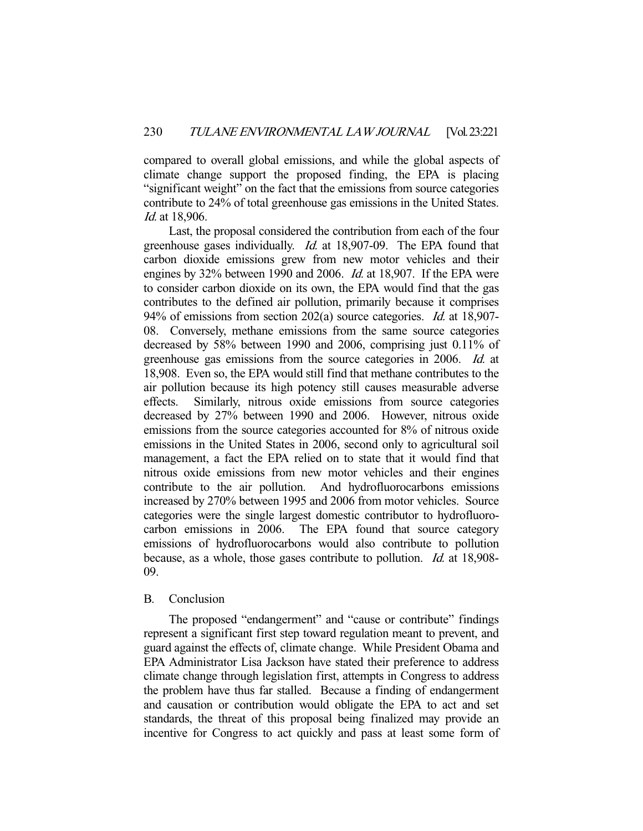compared to overall global emissions, and while the global aspects of climate change support the proposed finding, the EPA is placing "significant weight" on the fact that the emissions from source categories contribute to 24% of total greenhouse gas emissions in the United States. Id. at 18,906.

 Last, the proposal considered the contribution from each of the four greenhouse gases individually. Id. at 18,907-09. The EPA found that carbon dioxide emissions grew from new motor vehicles and their engines by 32% between 1990 and 2006. *Id.* at 18,907. If the EPA were to consider carbon dioxide on its own, the EPA would find that the gas contributes to the defined air pollution, primarily because it comprises 94% of emissions from section 202(a) source categories. *Id.* at 18,907-08. Conversely, methane emissions from the same source categories decreased by 58% between 1990 and 2006, comprising just 0.11% of greenhouse gas emissions from the source categories in 2006. Id. at 18,908. Even so, the EPA would still find that methane contributes to the air pollution because its high potency still causes measurable adverse effects. Similarly, nitrous oxide emissions from source categories decreased by 27% between 1990 and 2006. However, nitrous oxide emissions from the source categories accounted for 8% of nitrous oxide emissions in the United States in 2006, second only to agricultural soil management, a fact the EPA relied on to state that it would find that nitrous oxide emissions from new motor vehicles and their engines contribute to the air pollution. And hydrofluorocarbons emissions increased by 270% between 1995 and 2006 from motor vehicles. Source categories were the single largest domestic contributor to hydrofluorocarbon emissions in 2006. The EPA found that source category emissions of hydrofluorocarbons would also contribute to pollution because, as a whole, those gases contribute to pollution. Id. at 18,908- 09.

### B. Conclusion

 The proposed "endangerment" and "cause or contribute" findings represent a significant first step toward regulation meant to prevent, and guard against the effects of, climate change. While President Obama and EPA Administrator Lisa Jackson have stated their preference to address climate change through legislation first, attempts in Congress to address the problem have thus far stalled. Because a finding of endangerment and causation or contribution would obligate the EPA to act and set standards, the threat of this proposal being finalized may provide an incentive for Congress to act quickly and pass at least some form of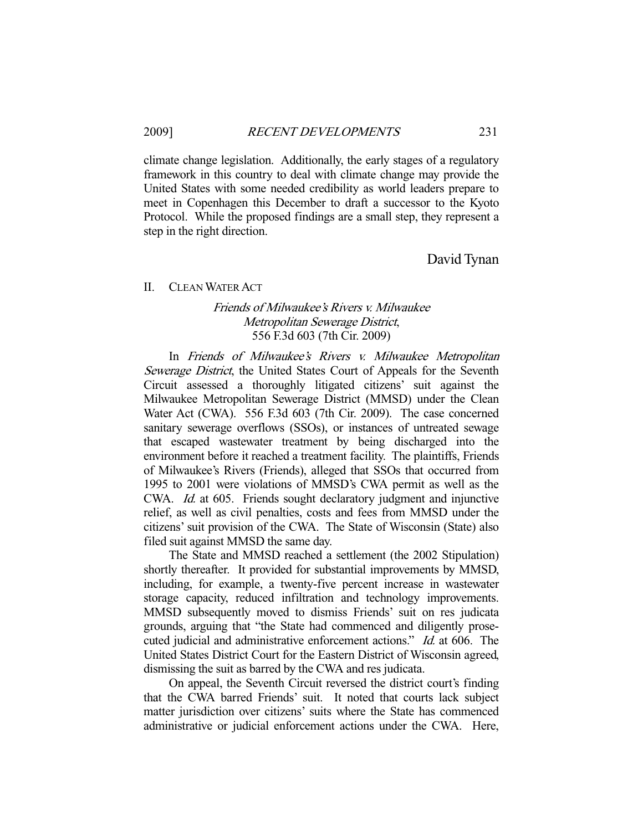climate change legislation. Additionally, the early stages of a regulatory framework in this country to deal with climate change may provide the United States with some needed credibility as world leaders prepare to meet in Copenhagen this December to draft a successor to the Kyoto Protocol. While the proposed findings are a small step, they represent a step in the right direction.

David Tynan

#### II. CLEAN WATER ACT

## Friends of Milwaukee's Rivers v. Milwaukee Metropolitan Sewerage District, 556 F.3d 603 (7th Cir. 2009)

 In Friends of Milwaukee's Rivers v. Milwaukee Metropolitan Sewerage District, the United States Court of Appeals for the Seventh Circuit assessed a thoroughly litigated citizens' suit against the Milwaukee Metropolitan Sewerage District (MMSD) under the Clean Water Act (CWA). 556 F.3d 603 (7th Cir. 2009). The case concerned sanitary sewerage overflows (SSOs), or instances of untreated sewage that escaped wastewater treatment by being discharged into the environment before it reached a treatment facility. The plaintiffs, Friends of Milwaukee's Rivers (Friends), alleged that SSOs that occurred from 1995 to 2001 were violations of MMSD's CWA permit as well as the CWA. *Id.* at 605. Friends sought declaratory judgment and injunctive relief, as well as civil penalties, costs and fees from MMSD under the citizens' suit provision of the CWA. The State of Wisconsin (State) also filed suit against MMSD the same day.

 The State and MMSD reached a settlement (the 2002 Stipulation) shortly thereafter. It provided for substantial improvements by MMSD, including, for example, a twenty-five percent increase in wastewater storage capacity, reduced infiltration and technology improvements. MMSD subsequently moved to dismiss Friends' suit on res judicata grounds, arguing that "the State had commenced and diligently prosecuted judicial and administrative enforcement actions." Id. at 606. The United States District Court for the Eastern District of Wisconsin agreed, dismissing the suit as barred by the CWA and res judicata.

 On appeal, the Seventh Circuit reversed the district court's finding that the CWA barred Friends' suit. It noted that courts lack subject matter jurisdiction over citizens' suits where the State has commenced administrative or judicial enforcement actions under the CWA. Here,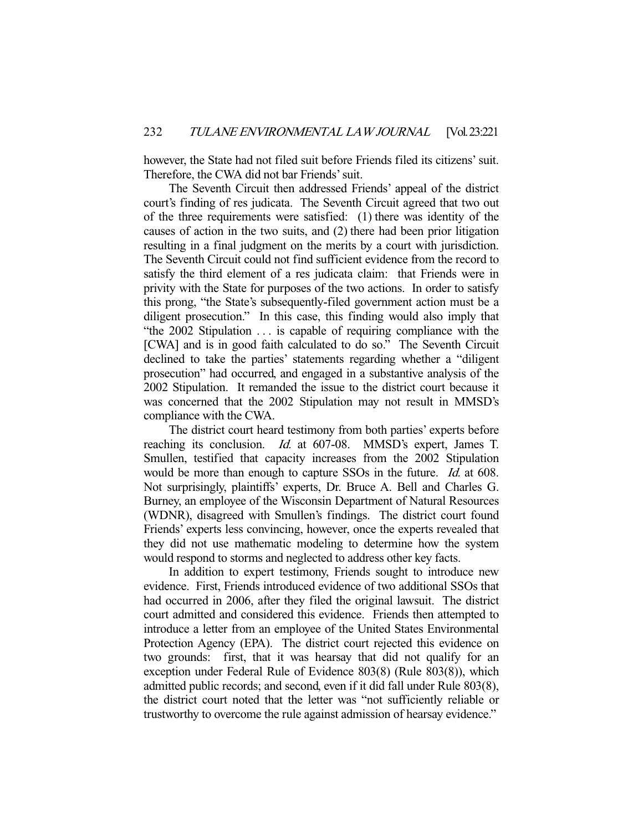however, the State had not filed suit before Friends filed its citizens' suit. Therefore, the CWA did not bar Friends' suit.

 The Seventh Circuit then addressed Friends' appeal of the district court's finding of res judicata. The Seventh Circuit agreed that two out of the three requirements were satisfied: (1) there was identity of the causes of action in the two suits, and (2) there had been prior litigation resulting in a final judgment on the merits by a court with jurisdiction. The Seventh Circuit could not find sufficient evidence from the record to satisfy the third element of a res judicata claim: that Friends were in privity with the State for purposes of the two actions. In order to satisfy this prong, "the State's subsequently-filed government action must be a diligent prosecution." In this case, this finding would also imply that "the 2002 Stipulation . . . is capable of requiring compliance with the [CWA] and is in good faith calculated to do so." The Seventh Circuit declined to take the parties' statements regarding whether a "diligent prosecution" had occurred, and engaged in a substantive analysis of the 2002 Stipulation. It remanded the issue to the district court because it was concerned that the 2002 Stipulation may not result in MMSD's compliance with the CWA.

 The district court heard testimony from both parties' experts before reaching its conclusion. *Id.* at 607-08. MMSD's expert, James T. Smullen, testified that capacity increases from the 2002 Stipulation would be more than enough to capture SSOs in the future. *Id.* at 608. Not surprisingly, plaintiffs' experts, Dr. Bruce A. Bell and Charles G. Burney, an employee of the Wisconsin Department of Natural Resources (WDNR), disagreed with Smullen's findings. The district court found Friends' experts less convincing, however, once the experts revealed that they did not use mathematic modeling to determine how the system would respond to storms and neglected to address other key facts.

 In addition to expert testimony, Friends sought to introduce new evidence. First, Friends introduced evidence of two additional SSOs that had occurred in 2006, after they filed the original lawsuit. The district court admitted and considered this evidence. Friends then attempted to introduce a letter from an employee of the United States Environmental Protection Agency (EPA). The district court rejected this evidence on two grounds: first, that it was hearsay that did not qualify for an exception under Federal Rule of Evidence 803(8) (Rule 803(8)), which admitted public records; and second, even if it did fall under Rule 803(8), the district court noted that the letter was "not sufficiently reliable or trustworthy to overcome the rule against admission of hearsay evidence."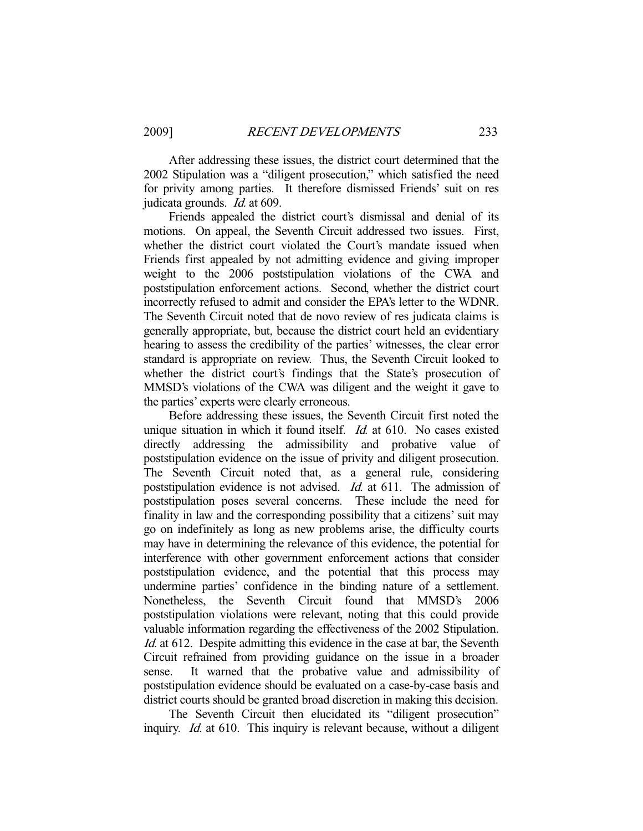After addressing these issues, the district court determined that the 2002 Stipulation was a "diligent prosecution," which satisfied the need for privity among parties. It therefore dismissed Friends' suit on res judicata grounds. Id. at 609.

 Friends appealed the district court's dismissal and denial of its motions. On appeal, the Seventh Circuit addressed two issues. First, whether the district court violated the Court's mandate issued when Friends first appealed by not admitting evidence and giving improper weight to the 2006 poststipulation violations of the CWA and poststipulation enforcement actions. Second, whether the district court incorrectly refused to admit and consider the EPA's letter to the WDNR. The Seventh Circuit noted that de novo review of res judicata claims is generally appropriate, but, because the district court held an evidentiary hearing to assess the credibility of the parties' witnesses, the clear error standard is appropriate on review. Thus, the Seventh Circuit looked to whether the district court's findings that the State's prosecution of MMSD's violations of the CWA was diligent and the weight it gave to the parties' experts were clearly erroneous.

 Before addressing these issues, the Seventh Circuit first noted the unique situation in which it found itself. *Id.* at 610. No cases existed directly addressing the admissibility and probative value of poststipulation evidence on the issue of privity and diligent prosecution. The Seventh Circuit noted that, as a general rule, considering poststipulation evidence is not advised. *Id.* at 611. The admission of poststipulation poses several concerns. These include the need for finality in law and the corresponding possibility that a citizens' suit may go on indefinitely as long as new problems arise, the difficulty courts may have in determining the relevance of this evidence, the potential for interference with other government enforcement actions that consider poststipulation evidence, and the potential that this process may undermine parties' confidence in the binding nature of a settlement. Nonetheless, the Seventh Circuit found that MMSD's 2006 poststipulation violations were relevant, noting that this could provide valuable information regarding the effectiveness of the 2002 Stipulation. Id. at 612. Despite admitting this evidence in the case at bar, the Seventh Circuit refrained from providing guidance on the issue in a broader sense. It warned that the probative value and admissibility of poststipulation evidence should be evaluated on a case-by-case basis and district courts should be granted broad discretion in making this decision.

 The Seventh Circuit then elucidated its "diligent prosecution" inquiry. *Id.* at 610. This inquiry is relevant because, without a diligent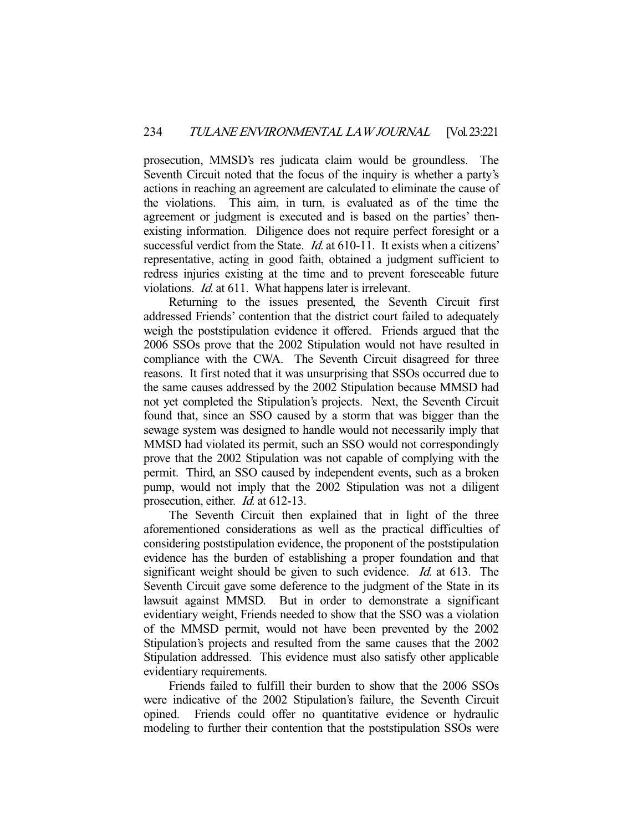prosecution, MMSD's res judicata claim would be groundless. The Seventh Circuit noted that the focus of the inquiry is whether a party's actions in reaching an agreement are calculated to eliminate the cause of the violations. This aim, in turn, is evaluated as of the time the agreement or judgment is executed and is based on the parties' thenexisting information. Diligence does not require perfect foresight or a successful verdict from the State. *Id.* at 610-11. It exists when a citizens' representative, acting in good faith, obtained a judgment sufficient to redress injuries existing at the time and to prevent foreseeable future violations. Id. at 611. What happens later is irrelevant.

 Returning to the issues presented, the Seventh Circuit first addressed Friends' contention that the district court failed to adequately weigh the poststipulation evidence it offered. Friends argued that the 2006 SSOs prove that the 2002 Stipulation would not have resulted in compliance with the CWA. The Seventh Circuit disagreed for three reasons. It first noted that it was unsurprising that SSOs occurred due to the same causes addressed by the 2002 Stipulation because MMSD had not yet completed the Stipulation's projects. Next, the Seventh Circuit found that, since an SSO caused by a storm that was bigger than the sewage system was designed to handle would not necessarily imply that MMSD had violated its permit, such an SSO would not correspondingly prove that the 2002 Stipulation was not capable of complying with the permit. Third, an SSO caused by independent events, such as a broken pump, would not imply that the 2002 Stipulation was not a diligent prosecution, either. *Id.* at 612-13.

 The Seventh Circuit then explained that in light of the three aforementioned considerations as well as the practical difficulties of considering poststipulation evidence, the proponent of the poststipulation evidence has the burden of establishing a proper foundation and that significant weight should be given to such evidence. *Id.* at 613. The Seventh Circuit gave some deference to the judgment of the State in its lawsuit against MMSD. But in order to demonstrate a significant evidentiary weight, Friends needed to show that the SSO was a violation of the MMSD permit, would not have been prevented by the 2002 Stipulation's projects and resulted from the same causes that the 2002 Stipulation addressed. This evidence must also satisfy other applicable evidentiary requirements.

 Friends failed to fulfill their burden to show that the 2006 SSOs were indicative of the 2002 Stipulation's failure, the Seventh Circuit opined. Friends could offer no quantitative evidence or hydraulic modeling to further their contention that the poststipulation SSOs were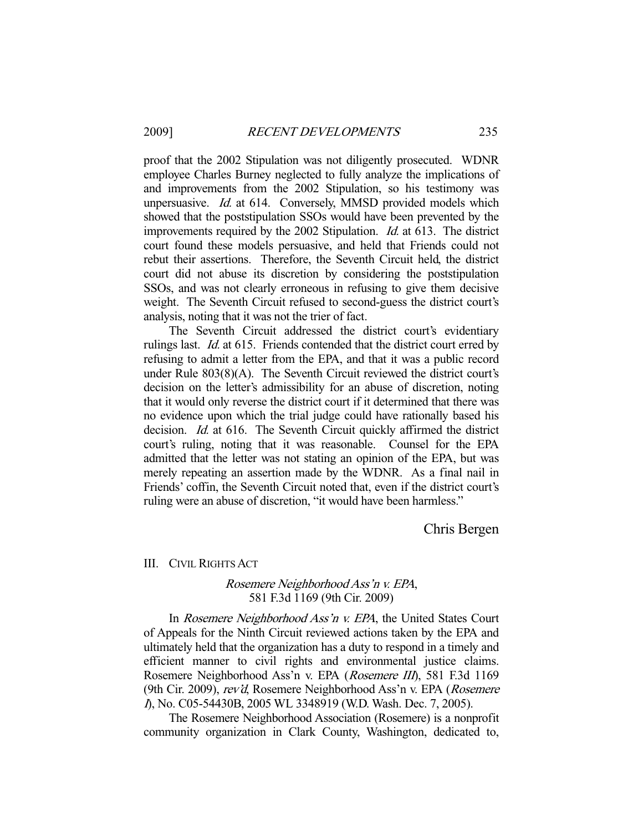proof that the 2002 Stipulation was not diligently prosecuted. WDNR employee Charles Burney neglected to fully analyze the implications of and improvements from the 2002 Stipulation, so his testimony was unpersuasive. *Id.* at 614. Conversely, MMSD provided models which showed that the poststipulation SSOs would have been prevented by the improvements required by the 2002 Stipulation. Id. at 613. The district court found these models persuasive, and held that Friends could not rebut their assertions. Therefore, the Seventh Circuit held, the district court did not abuse its discretion by considering the poststipulation SSOs, and was not clearly erroneous in refusing to give them decisive weight. The Seventh Circuit refused to second-guess the district court's analysis, noting that it was not the trier of fact.

 The Seventh Circuit addressed the district court's evidentiary rulings last. Id. at 615. Friends contended that the district court erred by refusing to admit a letter from the EPA, and that it was a public record under Rule 803(8)(A). The Seventh Circuit reviewed the district court's decision on the letter's admissibility for an abuse of discretion, noting that it would only reverse the district court if it determined that there was no evidence upon which the trial judge could have rationally based his decision. Id. at 616. The Seventh Circuit quickly affirmed the district court's ruling, noting that it was reasonable. Counsel for the EPA admitted that the letter was not stating an opinion of the EPA, but was merely repeating an assertion made by the WDNR. As a final nail in Friends' coffin, the Seventh Circuit noted that, even if the district court's ruling were an abuse of discretion, "it would have been harmless."

Chris Bergen

III. CIVIL RIGHTS ACT

## Rosemere Neighborhood Ass'n v. EPA, 581 F.3d 1169 (9th Cir. 2009)

In Rosemere Neighborhood Ass'n v. EPA, the United States Court of Appeals for the Ninth Circuit reviewed actions taken by the EPA and ultimately held that the organization has a duty to respond in a timely and efficient manner to civil rights and environmental justice claims. Rosemere Neighborhood Ass'n v. EPA (Rosemere III), 581 F.3d 1169 (9th Cir. 2009), rev'd, Rosemere Neighborhood Ass'n v. EPA (Rosemere <sup>I</sup>), No. C05-54430B, 2005 WL 3348919 (W.D. Wash. Dec. 7, 2005).

 The Rosemere Neighborhood Association (Rosemere) is a nonprofit community organization in Clark County, Washington, dedicated to,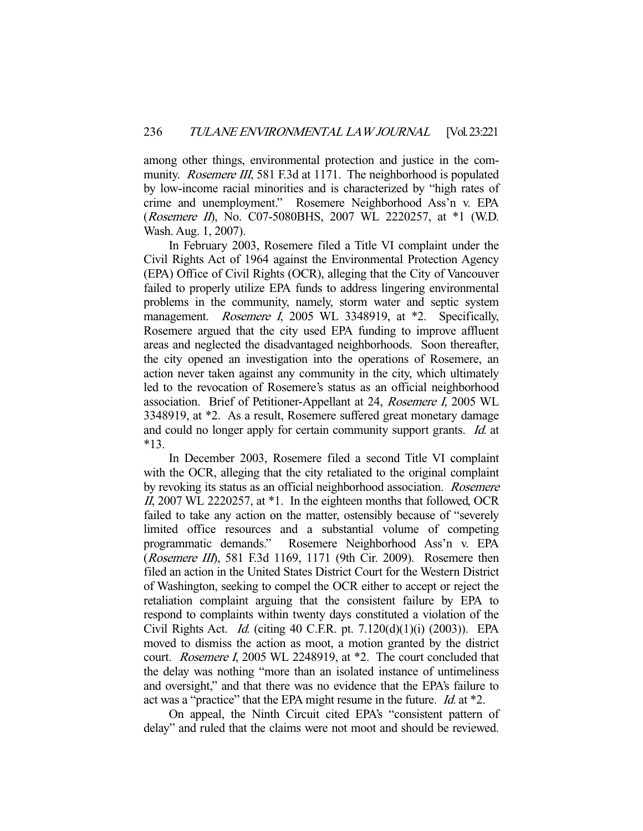among other things, environmental protection and justice in the community. *Rosemere III*, 581 F.3d at 1171. The neighborhood is populated by low-income racial minorities and is characterized by "high rates of crime and unemployment." Rosemere Neighborhood Ass'n v. EPA (*Rosemere II*), No. C07-5080BHS, 2007 WL 2220257, at \*1 (W.D. Wash. Aug. 1, 2007).

 In February 2003, Rosemere filed a Title VI complaint under the Civil Rights Act of 1964 against the Environmental Protection Agency (EPA) Office of Civil Rights (OCR), alleging that the City of Vancouver failed to properly utilize EPA funds to address lingering environmental problems in the community, namely, storm water and septic system management. *Rosemere I*, 2005 WL 3348919, at \*2. Specifically, Rosemere argued that the city used EPA funding to improve affluent areas and neglected the disadvantaged neighborhoods. Soon thereafter, the city opened an investigation into the operations of Rosemere, an action never taken against any community in the city, which ultimately led to the revocation of Rosemere's status as an official neighborhood association. Brief of Petitioner-Appellant at 24, Rosemere I, 2005 WL 3348919, at \*2. As a result, Rosemere suffered great monetary damage and could no longer apply for certain community support grants. *Id.* at \*13.

 In December 2003, Rosemere filed a second Title VI complaint with the OCR, alleging that the city retaliated to the original complaint by revoking its status as an official neighborhood association. Rosemere II, 2007 WL 2220257, at \*1. In the eighteen months that followed, OCR failed to take any action on the matter, ostensibly because of "severely limited office resources and a substantial volume of competing programmatic demands." Rosemere Neighborhood Ass'n v. EPA (Rosemere III), 581 F.3d 1169, 1171 (9th Cir. 2009). Rosemere then filed an action in the United States District Court for the Western District of Washington, seeking to compel the OCR either to accept or reject the retaliation complaint arguing that the consistent failure by EPA to respond to complaints within twenty days constituted a violation of the Civil Rights Act. Id. (citing 40 C.F.R. pt. 7.120(d)(1)(i) (2003)). EPA moved to dismiss the action as moot, a motion granted by the district court. Rosemere I, 2005 WL 2248919, at \*2. The court concluded that the delay was nothing "more than an isolated instance of untimeliness and oversight," and that there was no evidence that the EPA's failure to act was a "practice" that the EPA might resume in the future. Id. at \*2.

 On appeal, the Ninth Circuit cited EPA's "consistent pattern of delay" and ruled that the claims were not moot and should be reviewed.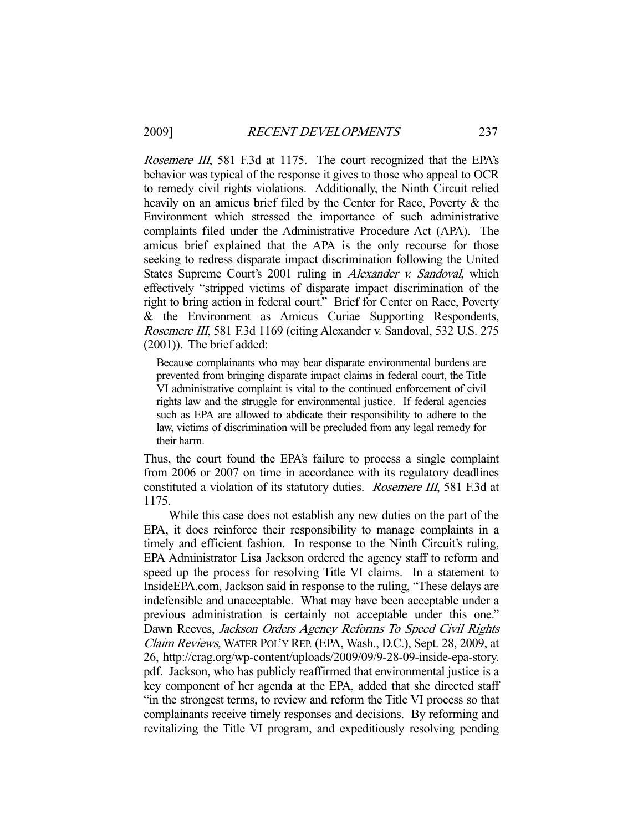Rosemere III, 581 F.3d at 1175. The court recognized that the EPA's behavior was typical of the response it gives to those who appeal to OCR to remedy civil rights violations. Additionally, the Ninth Circuit relied heavily on an amicus brief filed by the Center for Race, Poverty & the Environment which stressed the importance of such administrative complaints filed under the Administrative Procedure Act (APA). The amicus brief explained that the APA is the only recourse for those seeking to redress disparate impact discrimination following the United States Supreme Court's 2001 ruling in Alexander v. Sandoval, which effectively "stripped victims of disparate impact discrimination of the right to bring action in federal court." Brief for Center on Race, Poverty & the Environment as Amicus Curiae Supporting Respondents, Rosemere III, 581 F.3d 1169 (citing Alexander v. Sandoval, 532 U.S. 275 (2001)). The brief added:

Because complainants who may bear disparate environmental burdens are prevented from bringing disparate impact claims in federal court, the Title VI administrative complaint is vital to the continued enforcement of civil rights law and the struggle for environmental justice. If federal agencies such as EPA are allowed to abdicate their responsibility to adhere to the law, victims of discrimination will be precluded from any legal remedy for their harm.

Thus, the court found the EPA's failure to process a single complaint from 2006 or 2007 on time in accordance with its regulatory deadlines constituted a violation of its statutory duties. Rosemere III, 581 F.3d at 1175.

 While this case does not establish any new duties on the part of the EPA, it does reinforce their responsibility to manage complaints in a timely and efficient fashion. In response to the Ninth Circuit's ruling, EPA Administrator Lisa Jackson ordered the agency staff to reform and speed up the process for resolving Title VI claims. In a statement to InsideEPA.com, Jackson said in response to the ruling, "These delays are indefensible and unacceptable. What may have been acceptable under a previous administration is certainly not acceptable under this one." Dawn Reeves, Jackson Orders Agency Reforms To Speed Civil Rights Claim Reviews, WATER POL'Y REP. (EPA, Wash., D.C.), Sept. 28, 2009, at 26, http://crag.org/wp-content/uploads/2009/09/9-28-09-inside-epa-story. pdf. Jackson, who has publicly reaffirmed that environmental justice is a key component of her agenda at the EPA, added that she directed staff "in the strongest terms, to review and reform the Title VI process so that complainants receive timely responses and decisions. By reforming and revitalizing the Title VI program, and expeditiously resolving pending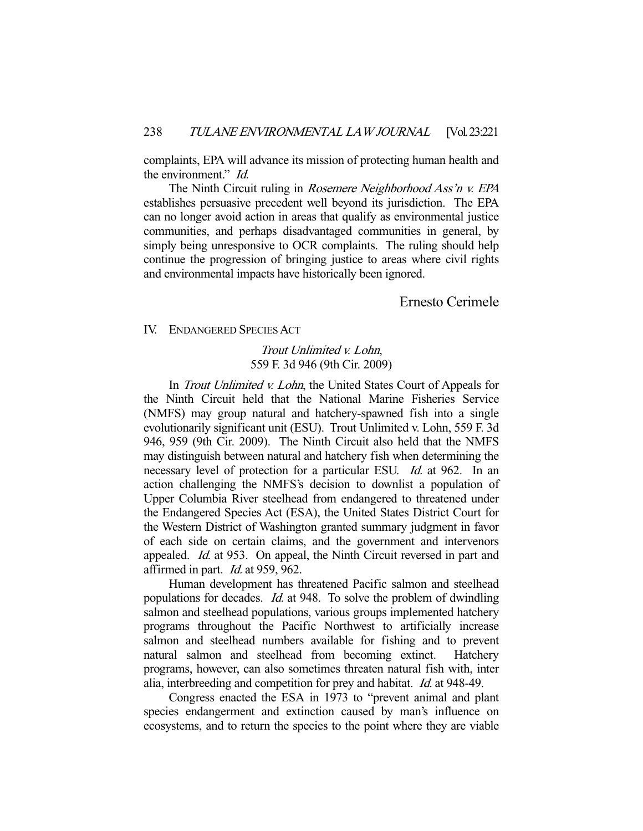complaints, EPA will advance its mission of protecting human health and the environment." Id.

The Ninth Circuit ruling in Rosemere Neighborhood Ass'n v. EPA establishes persuasive precedent well beyond its jurisdiction. The EPA can no longer avoid action in areas that qualify as environmental justice communities, and perhaps disadvantaged communities in general, by simply being unresponsive to OCR complaints. The ruling should help continue the progression of bringing justice to areas where civil rights and environmental impacts have historically been ignored.

Ernesto Cerimele

IV. ENDANGERED SPECIES ACT

Trout Unlimited v. Lohn, 559 F. 3d 946 (9th Cir. 2009)

In *Trout Unlimited v. Lohn*, the United States Court of Appeals for the Ninth Circuit held that the National Marine Fisheries Service (NMFS) may group natural and hatchery-spawned fish into a single evolutionarily significant unit (ESU). Trout Unlimited v. Lohn, 559 F. 3d 946, 959 (9th Cir. 2009). The Ninth Circuit also held that the NMFS may distinguish between natural and hatchery fish when determining the necessary level of protection for a particular ESU. *Id.* at 962. In an action challenging the NMFS's decision to downlist a population of Upper Columbia River steelhead from endangered to threatened under the Endangered Species Act (ESA), the United States District Court for the Western District of Washington granted summary judgment in favor of each side on certain claims, and the government and intervenors appealed. Id. at 953. On appeal, the Ninth Circuit reversed in part and affirmed in part. Id. at 959, 962.

 Human development has threatened Pacific salmon and steelhead populations for decades. *Id.* at 948. To solve the problem of dwindling salmon and steelhead populations, various groups implemented hatchery programs throughout the Pacific Northwest to artificially increase salmon and steelhead numbers available for fishing and to prevent natural salmon and steelhead from becoming extinct. Hatchery programs, however, can also sometimes threaten natural fish with, inter alia, interbreeding and competition for prey and habitat. Id. at 948-49.

 Congress enacted the ESA in 1973 to "prevent animal and plant species endangerment and extinction caused by man's influence on ecosystems, and to return the species to the point where they are viable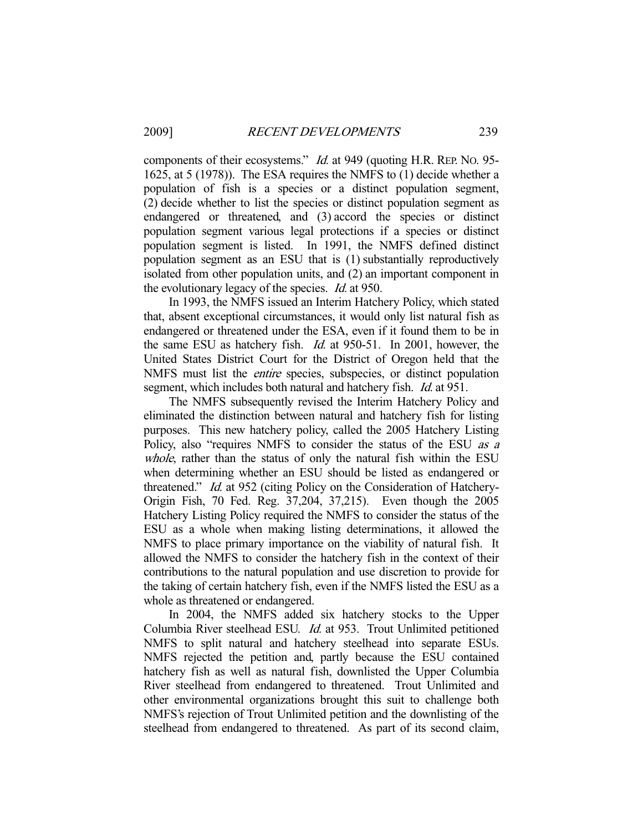components of their ecosystems." Id. at 949 (quoting H.R. REP. NO. 95- 1625, at 5 (1978)). The ESA requires the NMFS to (1) decide whether a population of fish is a species or a distinct population segment, (2) decide whether to list the species or distinct population segment as endangered or threatened, and (3) accord the species or distinct population segment various legal protections if a species or distinct population segment is listed. In 1991, the NMFS defined distinct population segment as an ESU that is (1) substantially reproductively isolated from other population units, and (2) an important component in the evolutionary legacy of the species. Id. at 950.

 In 1993, the NMFS issued an Interim Hatchery Policy, which stated that, absent exceptional circumstances, it would only list natural fish as endangered or threatened under the ESA, even if it found them to be in the same ESU as hatchery fish. Id. at 950-51. In 2001, however, the United States District Court for the District of Oregon held that the NMFS must list the entire species, subspecies, or distinct population segment, which includes both natural and hatchery fish. *Id.* at 951.

 The NMFS subsequently revised the Interim Hatchery Policy and eliminated the distinction between natural and hatchery fish for listing purposes. This new hatchery policy, called the 2005 Hatchery Listing Policy, also "requires NMFS to consider the status of the ESU *as a* whole, rather than the status of only the natural fish within the ESU when determining whether an ESU should be listed as endangered or threatened." Id. at 952 (citing Policy on the Consideration of Hatchery-Origin Fish, 70 Fed. Reg. 37,204, 37,215). Even though the 2005 Hatchery Listing Policy required the NMFS to consider the status of the ESU as a whole when making listing determinations, it allowed the NMFS to place primary importance on the viability of natural fish. It allowed the NMFS to consider the hatchery fish in the context of their contributions to the natural population and use discretion to provide for the taking of certain hatchery fish, even if the NMFS listed the ESU as a whole as threatened or endangered.

 In 2004, the NMFS added six hatchery stocks to the Upper Columbia River steelhead ESU. Id. at 953. Trout Unlimited petitioned NMFS to split natural and hatchery steelhead into separate ESUs. NMFS rejected the petition and, partly because the ESU contained hatchery fish as well as natural fish, downlisted the Upper Columbia River steelhead from endangered to threatened. Trout Unlimited and other environmental organizations brought this suit to challenge both NMFS's rejection of Trout Unlimited petition and the downlisting of the steelhead from endangered to threatened. As part of its second claim,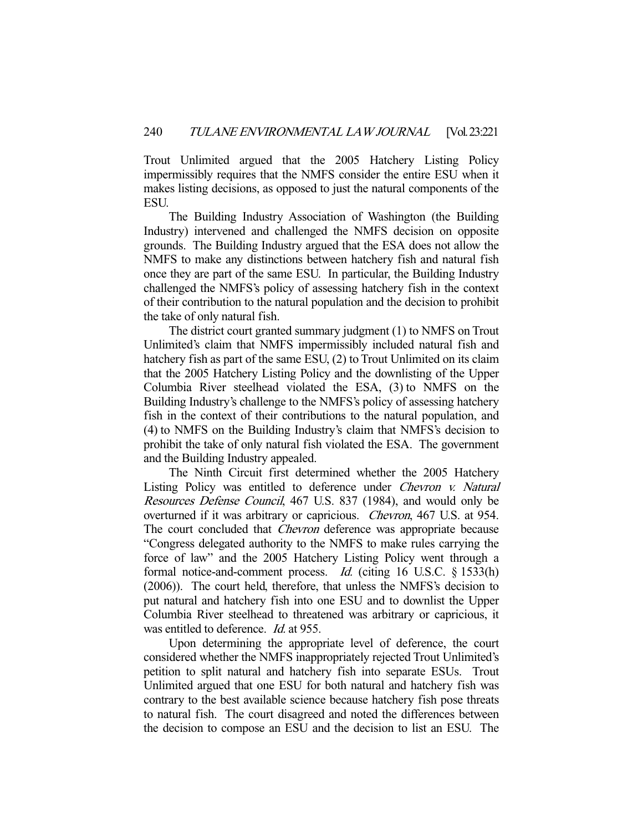Trout Unlimited argued that the 2005 Hatchery Listing Policy impermissibly requires that the NMFS consider the entire ESU when it makes listing decisions, as opposed to just the natural components of the ESU.

 The Building Industry Association of Washington (the Building Industry) intervened and challenged the NMFS decision on opposite grounds. The Building Industry argued that the ESA does not allow the NMFS to make any distinctions between hatchery fish and natural fish once they are part of the same ESU. In particular, the Building Industry challenged the NMFS's policy of assessing hatchery fish in the context of their contribution to the natural population and the decision to prohibit the take of only natural fish.

 The district court granted summary judgment (1) to NMFS on Trout Unlimited's claim that NMFS impermissibly included natural fish and hatchery fish as part of the same ESU, (2) to Trout Unlimited on its claim that the 2005 Hatchery Listing Policy and the downlisting of the Upper Columbia River steelhead violated the ESA, (3) to NMFS on the Building Industry's challenge to the NMFS's policy of assessing hatchery fish in the context of their contributions to the natural population, and (4) to NMFS on the Building Industry's claim that NMFS's decision to prohibit the take of only natural fish violated the ESA. The government and the Building Industry appealed.

 The Ninth Circuit first determined whether the 2005 Hatchery Listing Policy was entitled to deference under Chevron v. Natural Resources Defense Council, 467 U.S. 837 (1984), and would only be overturned if it was arbitrary or capricious. Chevron, 467 U.S. at 954. The court concluded that *Chevron* deference was appropriate because "Congress delegated authority to the NMFS to make rules carrying the force of law" and the 2005 Hatchery Listing Policy went through a formal notice-and-comment process. *Id.* (citing 16 U.S.C. § 1533(h) (2006)). The court held, therefore, that unless the NMFS's decision to put natural and hatchery fish into one ESU and to downlist the Upper Columbia River steelhead to threatened was arbitrary or capricious, it was entitled to deference. *Id.* at 955.

 Upon determining the appropriate level of deference, the court considered whether the NMFS inappropriately rejected Trout Unlimited's petition to split natural and hatchery fish into separate ESUs. Trout Unlimited argued that one ESU for both natural and hatchery fish was contrary to the best available science because hatchery fish pose threats to natural fish. The court disagreed and noted the differences between the decision to compose an ESU and the decision to list an ESU. The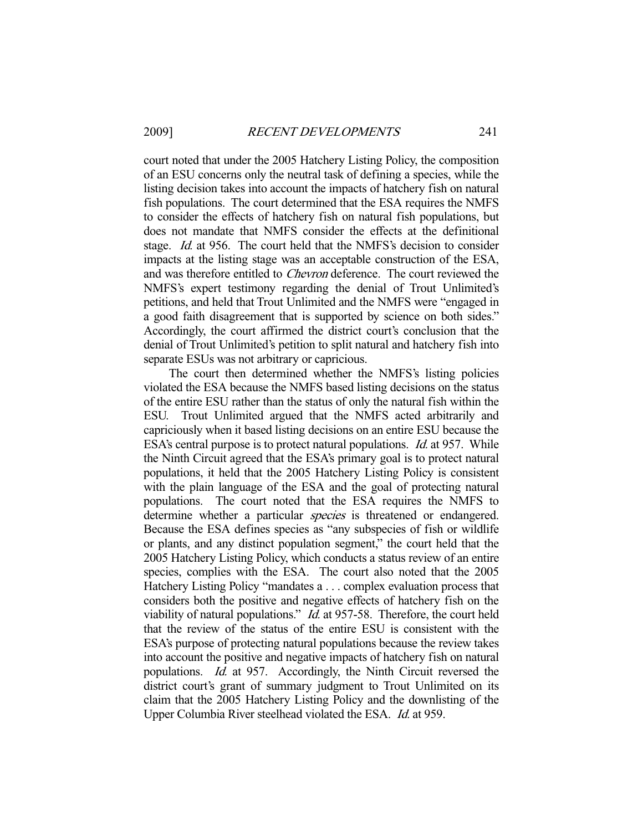court noted that under the 2005 Hatchery Listing Policy, the composition of an ESU concerns only the neutral task of defining a species, while the listing decision takes into account the impacts of hatchery fish on natural fish populations. The court determined that the ESA requires the NMFS to consider the effects of hatchery fish on natural fish populations, but does not mandate that NMFS consider the effects at the definitional stage. Id. at 956. The court held that the NMFS's decision to consider impacts at the listing stage was an acceptable construction of the ESA, and was therefore entitled to Chevron deference. The court reviewed the NMFS's expert testimony regarding the denial of Trout Unlimited's petitions, and held that Trout Unlimited and the NMFS were "engaged in a good faith disagreement that is supported by science on both sides." Accordingly, the court affirmed the district court's conclusion that the denial of Trout Unlimited's petition to split natural and hatchery fish into separate ESUs was not arbitrary or capricious.

 The court then determined whether the NMFS's listing policies violated the ESA because the NMFS based listing decisions on the status of the entire ESU rather than the status of only the natural fish within the ESU. Trout Unlimited argued that the NMFS acted arbitrarily and capriciously when it based listing decisions on an entire ESU because the ESA's central purpose is to protect natural populations. *Id.* at 957. While the Ninth Circuit agreed that the ESA's primary goal is to protect natural populations, it held that the 2005 Hatchery Listing Policy is consistent with the plain language of the ESA and the goal of protecting natural populations. The court noted that the ESA requires the NMFS to determine whether a particular *species* is threatened or endangered. Because the ESA defines species as "any subspecies of fish or wildlife or plants, and any distinct population segment," the court held that the 2005 Hatchery Listing Policy, which conducts a status review of an entire species, complies with the ESA. The court also noted that the 2005 Hatchery Listing Policy "mandates a . . . complex evaluation process that considers both the positive and negative effects of hatchery fish on the viability of natural populations." Id. at 957-58. Therefore, the court held that the review of the status of the entire ESU is consistent with the ESA's purpose of protecting natural populations because the review takes into account the positive and negative impacts of hatchery fish on natural populations. Id. at 957. Accordingly, the Ninth Circuit reversed the district court's grant of summary judgment to Trout Unlimited on its claim that the 2005 Hatchery Listing Policy and the downlisting of the Upper Columbia River steelhead violated the ESA. Id. at 959.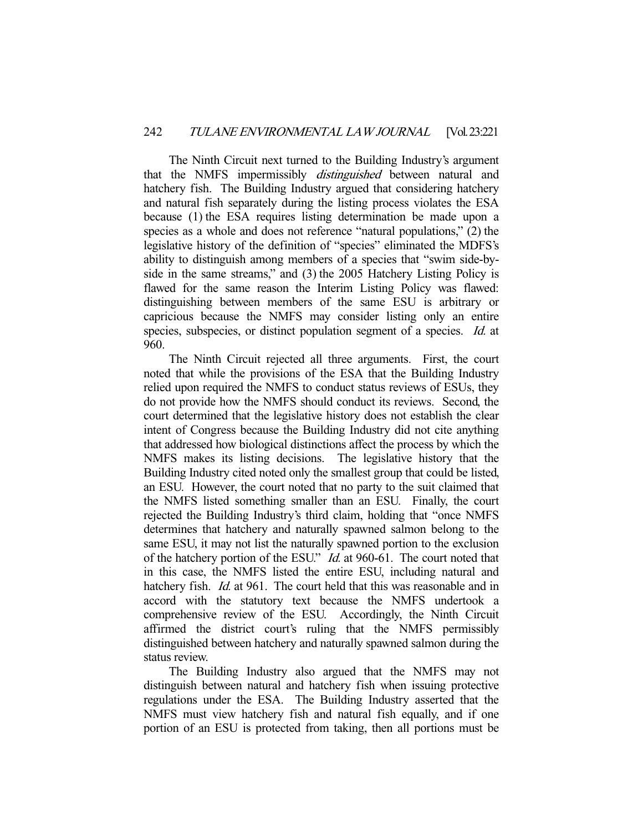The Ninth Circuit next turned to the Building Industry's argument that the NMFS impermissibly *distinguished* between natural and hatchery fish. The Building Industry argued that considering hatchery and natural fish separately during the listing process violates the ESA because (1) the ESA requires listing determination be made upon a species as a whole and does not reference "natural populations," (2) the legislative history of the definition of "species" eliminated the MDFS's ability to distinguish among members of a species that "swim side-byside in the same streams," and (3) the 2005 Hatchery Listing Policy is flawed for the same reason the Interim Listing Policy was flawed: distinguishing between members of the same ESU is arbitrary or capricious because the NMFS may consider listing only an entire species, subspecies, or distinct population segment of a species. *Id.* at 960.

 The Ninth Circuit rejected all three arguments. First, the court noted that while the provisions of the ESA that the Building Industry relied upon required the NMFS to conduct status reviews of ESUs, they do not provide how the NMFS should conduct its reviews. Second, the court determined that the legislative history does not establish the clear intent of Congress because the Building Industry did not cite anything that addressed how biological distinctions affect the process by which the NMFS makes its listing decisions. The legislative history that the Building Industry cited noted only the smallest group that could be listed, an ESU. However, the court noted that no party to the suit claimed that the NMFS listed something smaller than an ESU. Finally, the court rejected the Building Industry's third claim, holding that "once NMFS determines that hatchery and naturally spawned salmon belong to the same ESU, it may not list the naturally spawned portion to the exclusion of the hatchery portion of the ESU." Id. at 960-61. The court noted that in this case, the NMFS listed the entire ESU, including natural and hatchery fish. *Id.* at 961. The court held that this was reasonable and in accord with the statutory text because the NMFS undertook a comprehensive review of the ESU. Accordingly, the Ninth Circuit affirmed the district court's ruling that the NMFS permissibly distinguished between hatchery and naturally spawned salmon during the status review.

 The Building Industry also argued that the NMFS may not distinguish between natural and hatchery fish when issuing protective regulations under the ESA. The Building Industry asserted that the NMFS must view hatchery fish and natural fish equally, and if one portion of an ESU is protected from taking, then all portions must be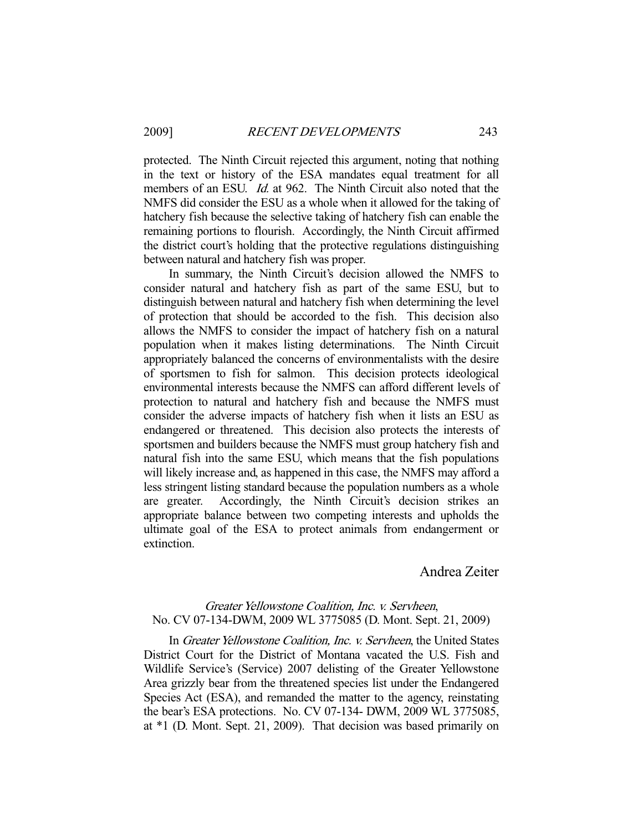protected. The Ninth Circuit rejected this argument, noting that nothing in the text or history of the ESA mandates equal treatment for all members of an ESU. *Id.* at 962. The Ninth Circuit also noted that the NMFS did consider the ESU as a whole when it allowed for the taking of hatchery fish because the selective taking of hatchery fish can enable the remaining portions to flourish. Accordingly, the Ninth Circuit affirmed the district court's holding that the protective regulations distinguishing between natural and hatchery fish was proper.

 In summary, the Ninth Circuit's decision allowed the NMFS to consider natural and hatchery fish as part of the same ESU, but to distinguish between natural and hatchery fish when determining the level of protection that should be accorded to the fish. This decision also allows the NMFS to consider the impact of hatchery fish on a natural population when it makes listing determinations. The Ninth Circuit appropriately balanced the concerns of environmentalists with the desire of sportsmen to fish for salmon. This decision protects ideological environmental interests because the NMFS can afford different levels of protection to natural and hatchery fish and because the NMFS must consider the adverse impacts of hatchery fish when it lists an ESU as endangered or threatened. This decision also protects the interests of sportsmen and builders because the NMFS must group hatchery fish and natural fish into the same ESU, which means that the fish populations will likely increase and, as happened in this case, the NMFS may afford a less stringent listing standard because the population numbers as a whole are greater. Accordingly, the Ninth Circuit's decision strikes an appropriate balance between two competing interests and upholds the ultimate goal of the ESA to protect animals from endangerment or extinction.

Andrea Zeiter

# Greater Yellowstone Coalition, Inc. v. Servheen, No. CV 07-134-DWM, 2009 WL 3775085 (D. Mont. Sept. 21, 2009)

In Greater Yellowstone Coalition, Inc. v. Servheen, the United States District Court for the District of Montana vacated the U.S. Fish and Wildlife Service's (Service) 2007 delisting of the Greater Yellowstone Area grizzly bear from the threatened species list under the Endangered Species Act (ESA), and remanded the matter to the agency, reinstating the bear's ESA protections. No. CV 07-134- DWM, 2009 WL 3775085, at \*1 (D. Mont. Sept. 21, 2009). That decision was based primarily on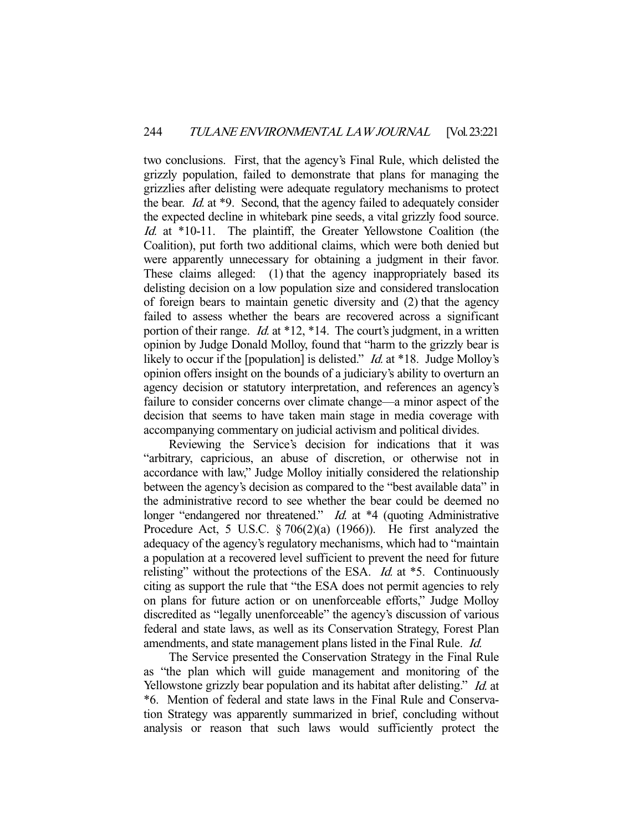two conclusions. First, that the agency's Final Rule, which delisted the grizzly population, failed to demonstrate that plans for managing the grizzlies after delisting were adequate regulatory mechanisms to protect the bear. Id. at \*9. Second, that the agency failed to adequately consider the expected decline in whitebark pine seeds, a vital grizzly food source. Id. at \*10-11. The plaintiff, the Greater Yellowstone Coalition (the Coalition), put forth two additional claims, which were both denied but were apparently unnecessary for obtaining a judgment in their favor. These claims alleged: (1) that the agency inappropriately based its delisting decision on a low population size and considered translocation of foreign bears to maintain genetic diversity and (2) that the agency failed to assess whether the bears are recovered across a significant portion of their range. *Id.* at \*12, \*14. The court's judgment, in a written opinion by Judge Donald Molloy, found that "harm to the grizzly bear is likely to occur if the [population] is delisted." *Id.* at \*18. Judge Molloy's opinion offers insight on the bounds of a judiciary's ability to overturn an agency decision or statutory interpretation, and references an agency's failure to consider concerns over climate change—a minor aspect of the decision that seems to have taken main stage in media coverage with accompanying commentary on judicial activism and political divides.

 Reviewing the Service's decision for indications that it was "arbitrary, capricious, an abuse of discretion, or otherwise not in accordance with law," Judge Molloy initially considered the relationship between the agency's decision as compared to the "best available data" in the administrative record to see whether the bear could be deemed no longer "endangered nor threatened." *Id.* at \*4 (quoting Administrative Procedure Act, 5 U.S.C.  $\S 706(2)(a)$  (1966)). He first analyzed the adequacy of the agency's regulatory mechanisms, which had to "maintain a population at a recovered level sufficient to prevent the need for future relisting" without the protections of the ESA.  $Id$  at  $*5$ . Continuously citing as support the rule that "the ESA does not permit agencies to rely on plans for future action or on unenforceable efforts," Judge Molloy discredited as "legally unenforceable" the agency's discussion of various federal and state laws, as well as its Conservation Strategy, Forest Plan amendments, and state management plans listed in the Final Rule. Id.

 The Service presented the Conservation Strategy in the Final Rule as "the plan which will guide management and monitoring of the Yellowstone grizzly bear population and its habitat after delisting." *Id.* at \*6. Mention of federal and state laws in the Final Rule and Conservation Strategy was apparently summarized in brief, concluding without analysis or reason that such laws would sufficiently protect the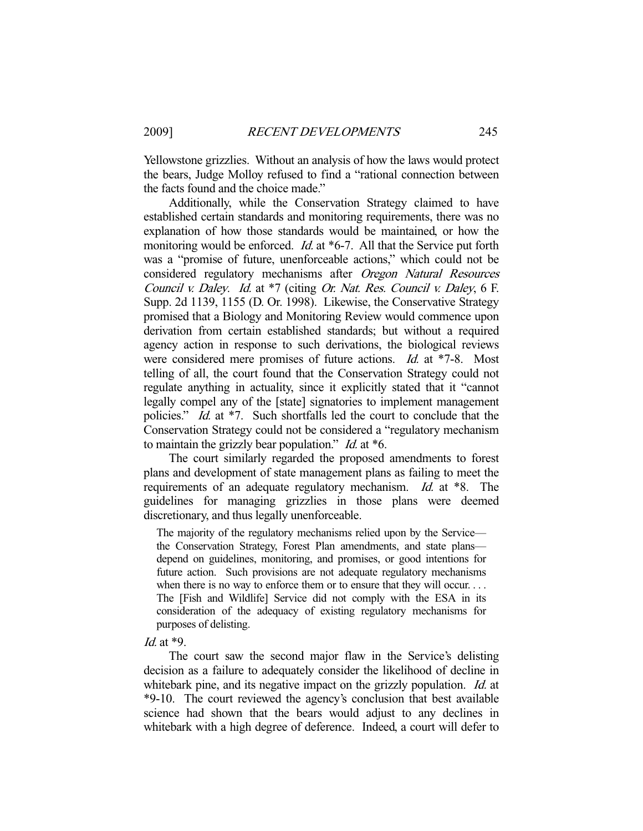Yellowstone grizzlies. Without an analysis of how the laws would protect the bears, Judge Molloy refused to find a "rational connection between the facts found and the choice made."

 Additionally, while the Conservation Strategy claimed to have established certain standards and monitoring requirements, there was no explanation of how those standards would be maintained, or how the monitoring would be enforced. *Id.* at \*6-7. All that the Service put forth was a "promise of future, unenforceable actions," which could not be considered regulatory mechanisms after Oregon Natural Resources Council v. Daley. Id. at \*7 (citing Or. Nat. Res. Council v. Daley, 6 F. Supp. 2d 1139, 1155 (D. Or. 1998). Likewise, the Conservative Strategy promised that a Biology and Monitoring Review would commence upon derivation from certain established standards; but without a required agency action in response to such derivations, the biological reviews were considered mere promises of future actions. *Id.* at \*7-8. Most telling of all, the court found that the Conservation Strategy could not regulate anything in actuality, since it explicitly stated that it "cannot legally compel any of the [state] signatories to implement management policies." Id. at \*7. Such shortfalls led the court to conclude that the Conservation Strategy could not be considered a "regulatory mechanism to maintain the grizzly bear population."  $Id$  at  $*6$ .

 The court similarly regarded the proposed amendments to forest plans and development of state management plans as failing to meet the requirements of an adequate regulatory mechanism. Id. at \*8. The guidelines for managing grizzlies in those plans were deemed discretionary, and thus legally unenforceable.

The majority of the regulatory mechanisms relied upon by the Service the Conservation Strategy, Forest Plan amendments, and state plans depend on guidelines, monitoring, and promises, or good intentions for future action. Such provisions are not adequate regulatory mechanisms when there is no way to enforce them or to ensure that they will occur. . . . The [Fish and Wildlife] Service did not comply with the ESA in its consideration of the adequacy of existing regulatory mechanisms for purposes of delisting.

#### Id. at \*9.

 The court saw the second major flaw in the Service's delisting decision as a failure to adequately consider the likelihood of decline in whitebark pine, and its negative impact on the grizzly population. Id. at \*9-10. The court reviewed the agency's conclusion that best available science had shown that the bears would adjust to any declines in whitebark with a high degree of deference. Indeed, a court will defer to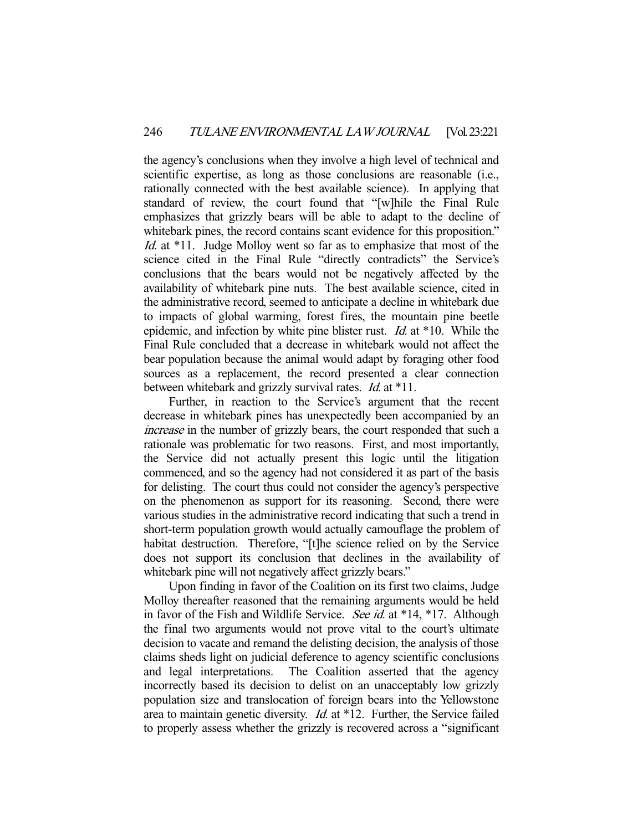the agency's conclusions when they involve a high level of technical and scientific expertise, as long as those conclusions are reasonable (i.e., rationally connected with the best available science). In applying that standard of review, the court found that "[w]hile the Final Rule emphasizes that grizzly bears will be able to adapt to the decline of whitebark pines, the record contains scant evidence for this proposition." Id. at \*11. Judge Molloy went so far as to emphasize that most of the science cited in the Final Rule "directly contradicts" the Service's conclusions that the bears would not be negatively affected by the availability of whitebark pine nuts. The best available science, cited in the administrative record, seemed to anticipate a decline in whitebark due to impacts of global warming, forest fires, the mountain pine beetle epidemic, and infection by white pine blister rust. *Id.* at  $*10$ . While the Final Rule concluded that a decrease in whitebark would not affect the bear population because the animal would adapt by foraging other food sources as a replacement, the record presented a clear connection between whitebark and grizzly survival rates. *Id.* at \*11.

 Further, in reaction to the Service's argument that the recent decrease in whitebark pines has unexpectedly been accompanied by an increase in the number of grizzly bears, the court responded that such a rationale was problematic for two reasons. First, and most importantly, the Service did not actually present this logic until the litigation commenced, and so the agency had not considered it as part of the basis for delisting. The court thus could not consider the agency's perspective on the phenomenon as support for its reasoning. Second, there were various studies in the administrative record indicating that such a trend in short-term population growth would actually camouflage the problem of habitat destruction. Therefore, "[t]he science relied on by the Service does not support its conclusion that declines in the availability of whitebark pine will not negatively affect grizzly bears."

 Upon finding in favor of the Coalition on its first two claims, Judge Molloy thereafter reasoned that the remaining arguments would be held in favor of the Fish and Wildlife Service. See id. at \*14, \*17. Although the final two arguments would not prove vital to the court's ultimate decision to vacate and remand the delisting decision, the analysis of those claims sheds light on judicial deference to agency scientific conclusions and legal interpretations. The Coalition asserted that the agency incorrectly based its decision to delist on an unacceptably low grizzly population size and translocation of foreign bears into the Yellowstone area to maintain genetic diversity. Id. at \*12. Further, the Service failed to properly assess whether the grizzly is recovered across a "significant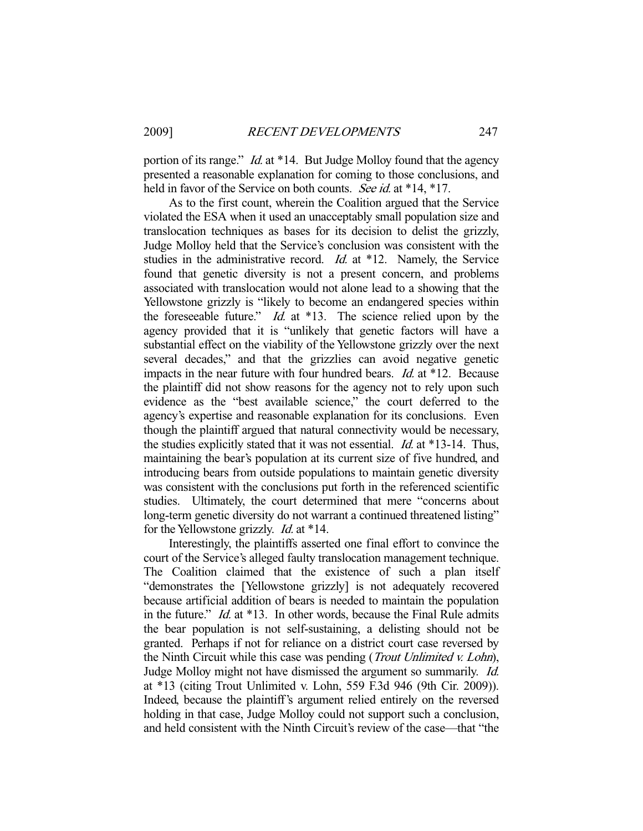portion of its range." *Id.* at \*14. But Judge Molloy found that the agency presented a reasonable explanation for coming to those conclusions, and held in favor of the Service on both counts. See id. at \*14, \*17.

 As to the first count, wherein the Coalition argued that the Service violated the ESA when it used an unacceptably small population size and translocation techniques as bases for its decision to delist the grizzly, Judge Molloy held that the Service's conclusion was consistent with the studies in the administrative record. *Id.* at \*12. Namely, the Service found that genetic diversity is not a present concern, and problems associated with translocation would not alone lead to a showing that the Yellowstone grizzly is "likely to become an endangered species within the foreseeable future."  $Id.$  at  $*13$ . The science relied upon by the agency provided that it is "unlikely that genetic factors will have a substantial effect on the viability of the Yellowstone grizzly over the next several decades," and that the grizzlies can avoid negative genetic impacts in the near future with four hundred bears. Id. at \*12. Because the plaintiff did not show reasons for the agency not to rely upon such evidence as the "best available science," the court deferred to the agency's expertise and reasonable explanation for its conclusions. Even though the plaintiff argued that natural connectivity would be necessary, the studies explicitly stated that it was not essential. *Id.* at \*13-14. Thus, maintaining the bear's population at its current size of five hundred, and introducing bears from outside populations to maintain genetic diversity was consistent with the conclusions put forth in the referenced scientific studies. Ultimately, the court determined that mere "concerns about long-term genetic diversity do not warrant a continued threatened listing" for the Yellowstone grizzly. Id. at \*14.

 Interestingly, the plaintiffs asserted one final effort to convince the court of the Service's alleged faulty translocation management technique. The Coalition claimed that the existence of such a plan itself "demonstrates the [Yellowstone grizzly] is not adequately recovered because artificial addition of bears is needed to maintain the population in the future."  $Id$ . at \*13. In other words, because the Final Rule admits the bear population is not self-sustaining, a delisting should not be granted. Perhaps if not for reliance on a district court case reversed by the Ninth Circuit while this case was pending (Trout Unlimited v. Lohn), Judge Molloy might not have dismissed the argument so summarily. Id. at \*13 (citing Trout Unlimited v. Lohn, 559 F.3d 946 (9th Cir. 2009)). Indeed, because the plaintiff's argument relied entirely on the reversed holding in that case, Judge Molloy could not support such a conclusion, and held consistent with the Ninth Circuit's review of the case—that "the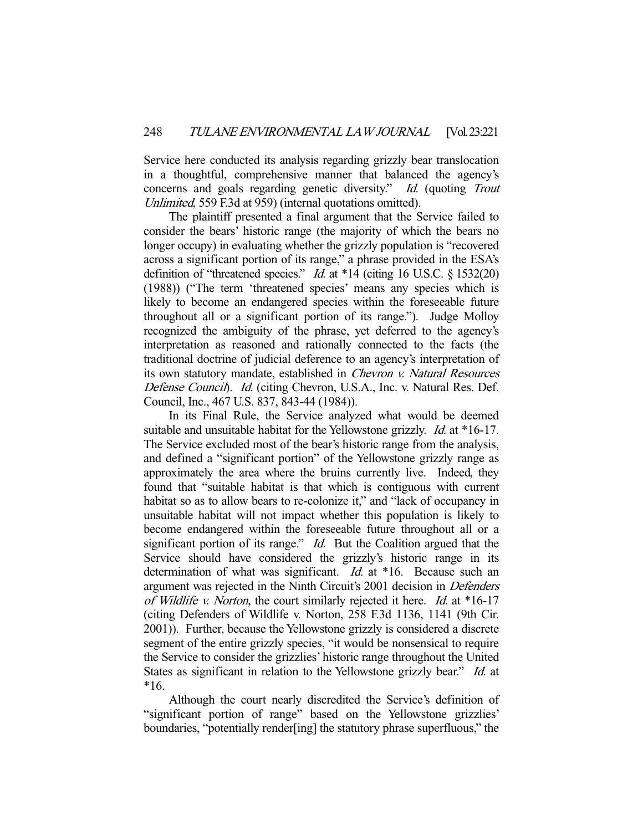Service here conducted its analysis regarding grizzly bear translocation in a thoughtful, comprehensive manner that balanced the agency's concerns and goals regarding genetic diversity." Id. (quoting Trout Unlimited, 559 F.3d at 959) (internal quotations omitted).

 The plaintiff presented a final argument that the Service failed to consider the bears' historic range (the majority of which the bears no longer occupy) in evaluating whether the grizzly population is "recovered across a significant portion of its range," a phrase provided in the ESA's definition of "threatened species." *Id.* at  $*14$  (citing 16 U.S.C. § 1532(20) (1988)) ("The term 'threatened species' means any species which is likely to become an endangered species within the foreseeable future throughout all or a significant portion of its range."). Judge Molloy recognized the ambiguity of the phrase, yet deferred to the agency's interpretation as reasoned and rationally connected to the facts (the traditional doctrine of judicial deference to an agency's interpretation of its own statutory mandate, established in Chevron v. Natural Resources Defense Council). Id. (citing Chevron, U.S.A., Inc. v. Natural Res. Def. Council, Inc., 467 U.S. 837, 843-44 (1984)).

 In its Final Rule, the Service analyzed what would be deemed suitable and unsuitable habitat for the Yellowstone grizzly. *Id.* at \*16-17. The Service excluded most of the bear's historic range from the analysis, and defined a "significant portion" of the Yellowstone grizzly range as approximately the area where the bruins currently live. Indeed, they found that "suitable habitat is that which is contiguous with current habitat so as to allow bears to re-colonize it," and "lack of occupancy in unsuitable habitat will not impact whether this population is likely to become endangered within the foreseeable future throughout all or a significant portion of its range."  $Id$ . But the Coalition argued that the Service should have considered the grizzly's historic range in its determination of what was significant. *Id.* at \*16. Because such an argument was rejected in the Ninth Circuit's 2001 decision in Defenders of Wildlife v. Norton, the court similarly rejected it here. Id. at \*16-17 (citing Defenders of Wildlife v. Norton, 258 F.3d 1136, 1141 (9th Cir. 2001)). Further, because the Yellowstone grizzly is considered a discrete segment of the entire grizzly species, "it would be nonsensical to require the Service to consider the grizzlies' historic range throughout the United States as significant in relation to the Yellowstone grizzly bear." *Id.* at \*16.

 Although the court nearly discredited the Service's definition of "significant portion of range" based on the Yellowstone grizzlies' boundaries, "potentially render[ing] the statutory phrase superfluous," the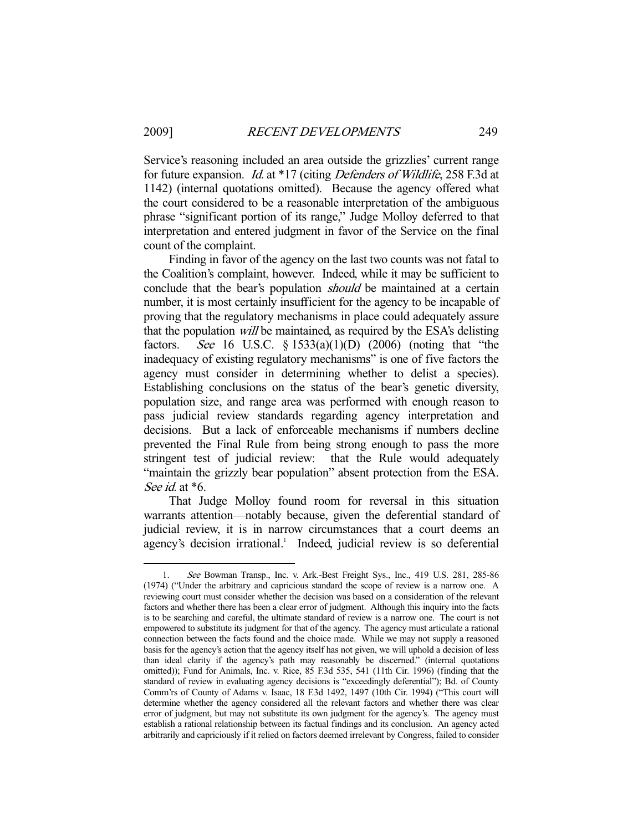Service's reasoning included an area outside the grizzlies' current range for future expansion. Id. at \*17 (citing Defenders of Wildlife, 258 F.3d at 1142) (internal quotations omitted). Because the agency offered what the court considered to be a reasonable interpretation of the ambiguous phrase "significant portion of its range," Judge Molloy deferred to that interpretation and entered judgment in favor of the Service on the final count of the complaint.

 Finding in favor of the agency on the last two counts was not fatal to the Coalition's complaint, however. Indeed, while it may be sufficient to conclude that the bear's population *should* be maintained at a certain number, it is most certainly insufficient for the agency to be incapable of proving that the regulatory mechanisms in place could adequately assure that the population will be maintained, as required by the ESA's delisting factors. See 16 U.S.C.  $\S$  1533(a)(1)(D) (2006) (noting that "the inadequacy of existing regulatory mechanisms" is one of five factors the agency must consider in determining whether to delist a species). Establishing conclusions on the status of the bear's genetic diversity, population size, and range area was performed with enough reason to pass judicial review standards regarding agency interpretation and decisions. But a lack of enforceable mechanisms if numbers decline prevented the Final Rule from being strong enough to pass the more stringent test of judicial review: that the Rule would adequately "maintain the grizzly bear population" absent protection from the ESA. See *id.* at  $*6$ .

 That Judge Molloy found room for reversal in this situation warrants attention—notably because, given the deferential standard of judicial review, it is in narrow circumstances that a court deems an agency's decision irrational.<sup>1</sup> Indeed, judicial review is so deferential

-

 <sup>1.</sup> See Bowman Transp., Inc. v. Ark.-Best Freight Sys., Inc., 419 U.S. 281, 285-86 (1974) ("Under the arbitrary and capricious standard the scope of review is a narrow one. A reviewing court must consider whether the decision was based on a consideration of the relevant factors and whether there has been a clear error of judgment. Although this inquiry into the facts is to be searching and careful, the ultimate standard of review is a narrow one. The court is not empowered to substitute its judgment for that of the agency. The agency must articulate a rational connection between the facts found and the choice made. While we may not supply a reasoned basis for the agency's action that the agency itself has not given, we will uphold a decision of less than ideal clarity if the agency's path may reasonably be discerned." (internal quotations omitted)); Fund for Animals, Inc. v. Rice, 85 F.3d 535, 541 (11th Cir. 1996) (finding that the standard of review in evaluating agency decisions is "exceedingly deferential"); Bd. of County Comm'rs of County of Adams v. Isaac, 18 F.3d 1492, 1497 (10th Cir. 1994) ("This court will determine whether the agency considered all the relevant factors and whether there was clear error of judgment, but may not substitute its own judgment for the agency's. The agency must establish a rational relationship between its factual findings and its conclusion. An agency acted arbitrarily and capriciously if it relied on factors deemed irrelevant by Congress, failed to consider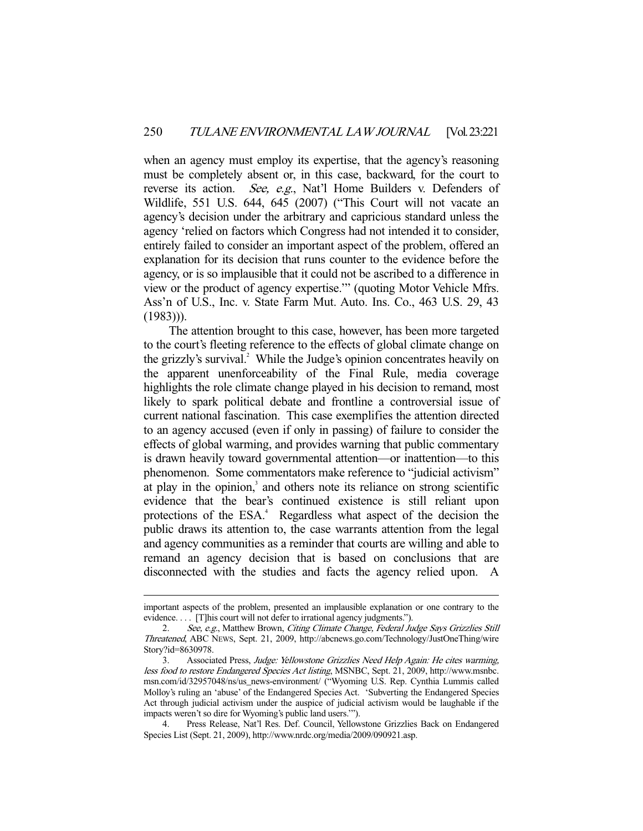when an agency must employ its expertise, that the agency's reasoning must be completely absent or, in this case, backward, for the court to reverse its action. See, e.g., Nat'l Home Builders v. Defenders of Wildlife, 551 U.S. 644, 645 (2007) ("This Court will not vacate an agency's decision under the arbitrary and capricious standard unless the agency 'relied on factors which Congress had not intended it to consider, entirely failed to consider an important aspect of the problem, offered an explanation for its decision that runs counter to the evidence before the agency, or is so implausible that it could not be ascribed to a difference in view or the product of agency expertise.'" (quoting Motor Vehicle Mfrs. Ass'n of U.S., Inc. v. State Farm Mut. Auto. Ins. Co., 463 U.S. 29, 43  $(1983)$ ).

 The attention brought to this case, however, has been more targeted to the court's fleeting reference to the effects of global climate change on the grizzly's survival.<sup>2</sup> While the Judge's opinion concentrates heavily on the apparent unenforceability of the Final Rule, media coverage highlights the role climate change played in his decision to remand, most likely to spark political debate and frontline a controversial issue of current national fascination. This case exemplifies the attention directed to an agency accused (even if only in passing) of failure to consider the effects of global warming, and provides warning that public commentary is drawn heavily toward governmental attention—or inattention—to this phenomenon. Some commentators make reference to "judicial activism" at play in the opinion,<sup>3</sup> and others note its reliance on strong scientific evidence that the bear's continued existence is still reliant upon protections of the ESA.<sup>4</sup> Regardless what aspect of the decision the public draws its attention to, the case warrants attention from the legal and agency communities as a reminder that courts are willing and able to remand an agency decision that is based on conclusions that are disconnected with the studies and facts the agency relied upon. A

-

important aspects of the problem, presented an implausible explanation or one contrary to the evidence. . . . [T]his court will not defer to irrational agency judgments.").

<sup>2.</sup> See, e.g., Matthew Brown, Citing Climate Change, Federal Judge Says Grizzlies Still Threatened, ABC NEWS, Sept. 21, 2009, http://abcnews.go.com/Technology/JustOneThing/wire Story?id=8630978.

 <sup>3.</sup> Associated Press, Judge: Yellowstone Grizzlies Need Help Again: He cites warming, less food to restore Endangered Species Act listing, MSNBC, Sept. 21, 2009, http://www.msnbc. msn.com/id/32957048/ns/us\_news-environment/ ("Wyoming U.S. Rep. Cynthia Lummis called Molloy's ruling an 'abuse' of the Endangered Species Act. 'Subverting the Endangered Species Act through judicial activism under the auspice of judicial activism would be laughable if the impacts weren't so dire for Wyoming's public land users.'").

 <sup>4.</sup> Press Release, Nat'l Res. Def. Council, Yellowstone Grizzlies Back on Endangered Species List (Sept. 21, 2009), http://www.nrdc.org/media/2009/090921.asp.